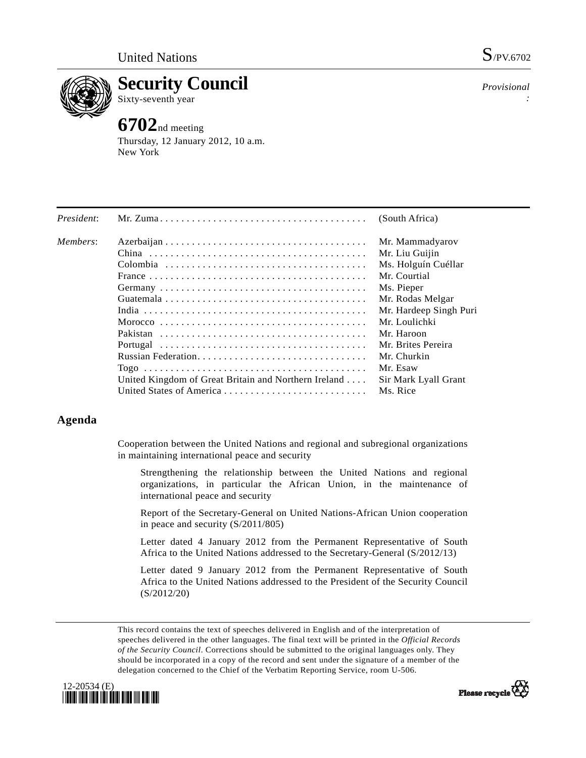

**Security Council** 

Sixty-seventh year

## **6702**nd meeting

Thursday, 12 January 2012, 10 a.m. New York

*Provisional :* 

| President: |                                                      | (South Africa)         |
|------------|------------------------------------------------------|------------------------|
| Members:   |                                                      | Mr. Mammadyarov        |
|            |                                                      | Mr. Liu Guijin         |
|            |                                                      | Ms. Holguín Cuéllar    |
|            |                                                      | Mr. Courtial           |
|            |                                                      | Ms. Pieper             |
|            |                                                      | Mr. Rodas Melgar       |
|            |                                                      | Mr. Hardeep Singh Puri |
|            |                                                      | Mr. Loulichki          |
|            |                                                      | Mr. Haroon             |
|            |                                                      | Mr. Brites Pereira     |
|            |                                                      | Mr. Churkin            |
|            |                                                      | Mr. Esaw               |
|            | United Kingdom of Great Britain and Northern Ireland | Sir Mark Lyall Grant   |
|            |                                                      | Ms. Rice               |
|            |                                                      |                        |

## **Agenda**

Cooperation between the United Nations and regional and subregional organizations in maintaining international peace and security

 Strengthening the relationship between the United Nations and regional organizations, in particular the African Union, in the maintenance of international peace and security

 Report of the Secretary-General on United Nations-African Union cooperation in peace and security (S/2011/805)

 Letter dated 4 January 2012 from the Permanent Representative of South Africa to the United Nations addressed to the Secretary-General (S/2012/13)

 Letter dated 9 January 2012 from the Permanent Representative of South Africa to the United Nations addressed to the President of the Security Council (S/2012/20)

This record contains the text of speeches delivered in English and of the interpretation of speeches delivered in the other languages. The final text will be printed in the *Official Records of the Security Council*. Corrections should be submitted to the original languages only. They should be incorporated in a copy of the record and sent under the signature of a member of the delegation concerned to the Chief of the Verbatim Reporting Service, room U-506.



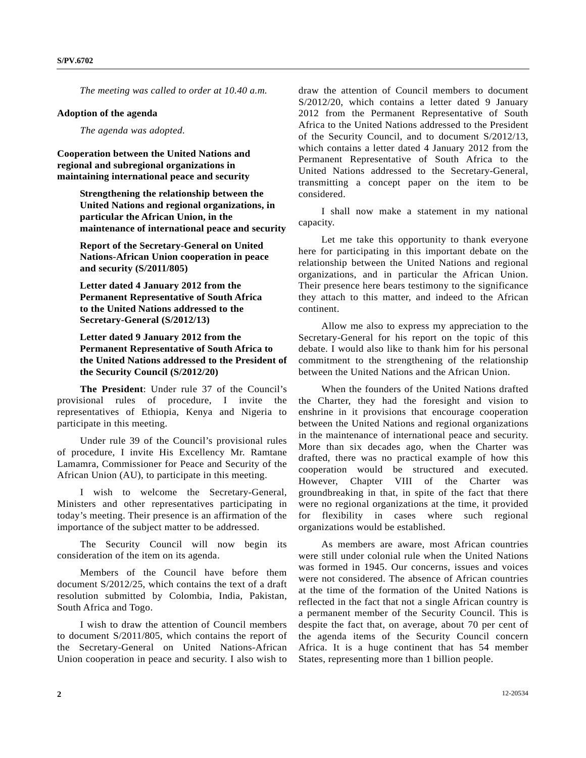*The meeting was called to order at 10.40 a.m.* 

## **Adoption of the agenda**

 *The agenda was adopted.* 

**Cooperation between the United Nations and regional and subregional organizations in maintaining international peace and security** 

> **Strengthening the relationship between the United Nations and regional organizations, in particular the African Union, in the maintenance of international peace and security**

 **Report of the Secretary-General on United Nations-African Union cooperation in peace and security (S/2011/805)** 

 **Letter dated 4 January 2012 from the Permanent Representative of South Africa to the United Nations addressed to the Secretary-General (S/2012/13)** 

 **Letter dated 9 January 2012 from the Permanent Representative of South Africa to the United Nations addressed to the President of the Security Council (S/2012/20)** 

**The President**: Under rule 37 of the Council's provisional rules of procedure, I invite the representatives of Ethiopia, Kenya and Nigeria to participate in this meeting.

 Under rule 39 of the Council's provisional rules of procedure, I invite His Excellency Mr. Ramtane Lamamra, Commissioner for Peace and Security of the African Union (AU), to participate in this meeting.

 I wish to welcome the Secretary-General, Ministers and other representatives participating in today's meeting. Their presence is an affirmation of the importance of the subject matter to be addressed.

 The Security Council will now begin its consideration of the item on its agenda.

 Members of the Council have before them document S/2012/25, which contains the text of a draft resolution submitted by Colombia, India, Pakistan, South Africa and Togo.

 I wish to draw the attention of Council members to document S/2011/805, which contains the report of the Secretary-General on United Nations-African Union cooperation in peace and security. I also wish to

draw the attention of Council members to document S/2012/20, which contains a letter dated 9 January 2012 from the Permanent Representative of South Africa to the United Nations addressed to the President of the Security Council, and to document S/2012/13, which contains a letter dated 4 January 2012 from the Permanent Representative of South Africa to the United Nations addressed to the Secretary-General, transmitting a concept paper on the item to be considered.

 I shall now make a statement in my national capacity.

 Let me take this opportunity to thank everyone here for participating in this important debate on the relationship between the United Nations and regional organizations, and in particular the African Union. Their presence here bears testimony to the significance they attach to this matter, and indeed to the African continent.

 Allow me also to express my appreciation to the Secretary-General for his report on the topic of this debate. I would also like to thank him for his personal commitment to the strengthening of the relationship between the United Nations and the African Union.

 When the founders of the United Nations drafted the Charter, they had the foresight and vision to enshrine in it provisions that encourage cooperation between the United Nations and regional organizations in the maintenance of international peace and security. More than six decades ago, when the Charter was drafted, there was no practical example of how this cooperation would be structured and executed. However, Chapter VIII of the Charter was groundbreaking in that, in spite of the fact that there were no regional organizations at the time, it provided for flexibility in cases where such regional organizations would be established.

 As members are aware, most African countries were still under colonial rule when the United Nations was formed in 1945. Our concerns, issues and voices were not considered. The absence of African countries at the time of the formation of the United Nations is reflected in the fact that not a single African country is a permanent member of the Security Council. This is despite the fact that, on average, about 70 per cent of the agenda items of the Security Council concern Africa. It is a huge continent that has 54 member States, representing more than 1 billion people.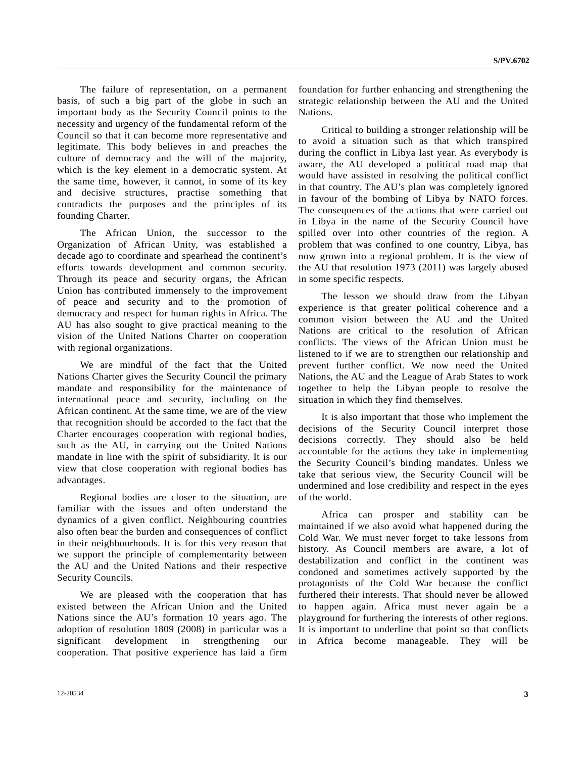The failure of representation, on a permanent basis, of such a big part of the globe in such an important body as the Security Council points to the necessity and urgency of the fundamental reform of the Council so that it can become more representative and legitimate. This body believes in and preaches the culture of democracy and the will of the majority, which is the key element in a democratic system. At the same time, however, it cannot, in some of its key and decisive structures, practise something that contradicts the purposes and the principles of its founding Charter.

 The African Union, the successor to the Organization of African Unity, was established a decade ago to coordinate and spearhead the continent's efforts towards development and common security. Through its peace and security organs, the African Union has contributed immensely to the improvement of peace and security and to the promotion of democracy and respect for human rights in Africa. The AU has also sought to give practical meaning to the vision of the United Nations Charter on cooperation with regional organizations.

 We are mindful of the fact that the United Nations Charter gives the Security Council the primary mandate and responsibility for the maintenance of international peace and security, including on the African continent. At the same time, we are of the view that recognition should be accorded to the fact that the Charter encourages cooperation with regional bodies, such as the AU, in carrying out the United Nations mandate in line with the spirit of subsidiarity. It is our view that close cooperation with regional bodies has advantages.

 Regional bodies are closer to the situation, are familiar with the issues and often understand the dynamics of a given conflict. Neighbouring countries also often bear the burden and consequences of conflict in their neighbourhoods. It is for this very reason that we support the principle of complementarity between the AU and the United Nations and their respective Security Councils.

 We are pleased with the cooperation that has existed between the African Union and the United Nations since the AU's formation 10 years ago. The adoption of resolution 1809 (2008) in particular was a significant development in strengthening our cooperation. That positive experience has laid a firm foundation for further enhancing and strengthening the strategic relationship between the AU and the United Nations.

 Critical to building a stronger relationship will be to avoid a situation such as that which transpired during the conflict in Libya last year. As everybody is aware, the AU developed a political road map that would have assisted in resolving the political conflict in that country. The AU's plan was completely ignored in favour of the bombing of Libya by NATO forces. The consequences of the actions that were carried out in Libya in the name of the Security Council have spilled over into other countries of the region. A problem that was confined to one country, Libya, has now grown into a regional problem. It is the view of the AU that resolution 1973 (2011) was largely abused in some specific respects.

 The lesson we should draw from the Libyan experience is that greater political coherence and a common vision between the AU and the United Nations are critical to the resolution of African conflicts. The views of the African Union must be listened to if we are to strengthen our relationship and prevent further conflict. We now need the United Nations, the AU and the League of Arab States to work together to help the Libyan people to resolve the situation in which they find themselves.

 It is also important that those who implement the decisions of the Security Council interpret those decisions correctly. They should also be held accountable for the actions they take in implementing the Security Council's binding mandates. Unless we take that serious view, the Security Council will be undermined and lose credibility and respect in the eyes of the world.

 Africa can prosper and stability can be maintained if we also avoid what happened during the Cold War. We must never forget to take lessons from history. As Council members are aware, a lot of destabilization and conflict in the continent was condoned and sometimes actively supported by the protagonists of the Cold War because the conflict furthered their interests. That should never be allowed to happen again. Africa must never again be a playground for furthering the interests of other regions. It is important to underline that point so that conflicts in Africa become manageable. They will be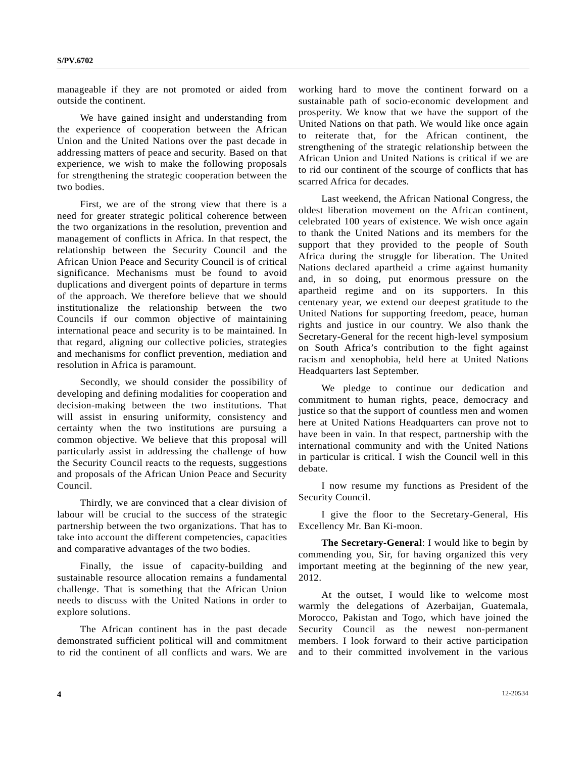manageable if they are not promoted or aided from outside the continent.

 We have gained insight and understanding from the experience of cooperation between the African Union and the United Nations over the past decade in addressing matters of peace and security. Based on that experience, we wish to make the following proposals for strengthening the strategic cooperation between the two bodies.

 First, we are of the strong view that there is a need for greater strategic political coherence between the two organizations in the resolution, prevention and management of conflicts in Africa. In that respect, the relationship between the Security Council and the African Union Peace and Security Council is of critical significance. Mechanisms must be found to avoid duplications and divergent points of departure in terms of the approach. We therefore believe that we should institutionalize the relationship between the two Councils if our common objective of maintaining international peace and security is to be maintained. In that regard, aligning our collective policies, strategies and mechanisms for conflict prevention, mediation and resolution in Africa is paramount.

 Secondly, we should consider the possibility of developing and defining modalities for cooperation and decision-making between the two institutions. That will assist in ensuring uniformity, consistency and certainty when the two institutions are pursuing a common objective. We believe that this proposal will particularly assist in addressing the challenge of how the Security Council reacts to the requests, suggestions and proposals of the African Union Peace and Security Council.

 Thirdly, we are convinced that a clear division of labour will be crucial to the success of the strategic partnership between the two organizations. That has to take into account the different competencies, capacities and comparative advantages of the two bodies.

 Finally, the issue of capacity-building and sustainable resource allocation remains a fundamental challenge. That is something that the African Union needs to discuss with the United Nations in order to explore solutions.

 The African continent has in the past decade demonstrated sufficient political will and commitment to rid the continent of all conflicts and wars. We are

working hard to move the continent forward on a sustainable path of socio-economic development and prosperity. We know that we have the support of the United Nations on that path. We would like once again to reiterate that, for the African continent, the strengthening of the strategic relationship between the African Union and United Nations is critical if we are to rid our continent of the scourge of conflicts that has scarred Africa for decades.

 Last weekend, the African National Congress, the oldest liberation movement on the African continent, celebrated 100 years of existence. We wish once again to thank the United Nations and its members for the support that they provided to the people of South Africa during the struggle for liberation. The United Nations declared apartheid a crime against humanity and, in so doing, put enormous pressure on the apartheid regime and on its supporters. In this centenary year, we extend our deepest gratitude to the United Nations for supporting freedom, peace, human rights and justice in our country. We also thank the Secretary-General for the recent high-level symposium on South Africa's contribution to the fight against racism and xenophobia, held here at United Nations Headquarters last September.

 We pledge to continue our dedication and commitment to human rights, peace, democracy and justice so that the support of countless men and women here at United Nations Headquarters can prove not to have been in vain. In that respect, partnership with the international community and with the United Nations in particular is critical. I wish the Council well in this debate.

 I now resume my functions as President of the Security Council.

 I give the floor to the Secretary-General, His Excellency Mr. Ban Ki-moon.

**The Secretary-General**: I would like to begin by commending you, Sir, for having organized this very important meeting at the beginning of the new year, 2012.

 At the outset, I would like to welcome most warmly the delegations of Azerbaijan, Guatemala, Morocco, Pakistan and Togo, which have joined the Security Council as the newest non-permanent members. I look forward to their active participation and to their committed involvement in the various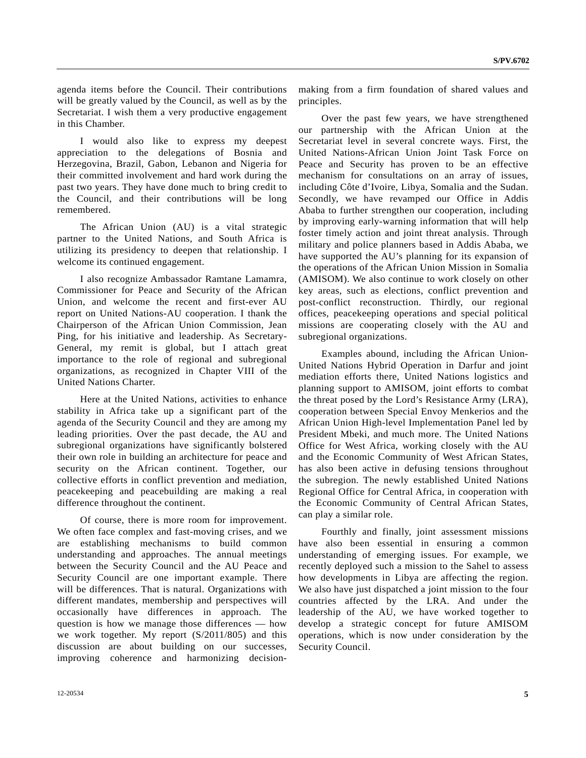agenda items before the Council. Their contributions will be greatly valued by the Council, as well as by the Secretariat. I wish them a very productive engagement in this Chamber.

 I would also like to express my deepest appreciation to the delegations of Bosnia and Herzegovina, Brazil, Gabon, Lebanon and Nigeria for their committed involvement and hard work during the past two years. They have done much to bring credit to the Council, and their contributions will be long remembered.

 The African Union (AU) is a vital strategic partner to the United Nations, and South Africa is utilizing its presidency to deepen that relationship. I welcome its continued engagement.

 I also recognize Ambassador Ramtane Lamamra, Commissioner for Peace and Security of the African Union, and welcome the recent and first-ever AU report on United Nations-AU cooperation. I thank the Chairperson of the African Union Commission, Jean Ping, for his initiative and leadership. As Secretary-General, my remit is global, but I attach great importance to the role of regional and subregional organizations, as recognized in Chapter VIII of the United Nations Charter.

 Here at the United Nations, activities to enhance stability in Africa take up a significant part of the agenda of the Security Council and they are among my leading priorities. Over the past decade, the AU and subregional organizations have significantly bolstered their own role in building an architecture for peace and security on the African continent. Together, our collective efforts in conflict prevention and mediation, peacekeeping and peacebuilding are making a real difference throughout the continent.

 Of course, there is more room for improvement. We often face complex and fast-moving crises, and we are establishing mechanisms to build common understanding and approaches. The annual meetings between the Security Council and the AU Peace and Security Council are one important example. There will be differences. That is natural. Organizations with different mandates, membership and perspectives will occasionally have differences in approach. The question is how we manage those differences — how we work together. My report (S/2011/805) and this discussion are about building on our successes, improving coherence and harmonizing decisionmaking from a firm foundation of shared values and principles.

 Over the past few years, we have strengthened our partnership with the African Union at the Secretariat level in several concrete ways. First, the United Nations-African Union Joint Task Force on Peace and Security has proven to be an effective mechanism for consultations on an array of issues, including Côte d'Ivoire, Libya, Somalia and the Sudan. Secondly, we have revamped our Office in Addis Ababa to further strengthen our cooperation, including by improving early-warning information that will help foster timely action and joint threat analysis. Through military and police planners based in Addis Ababa, we have supported the AU's planning for its expansion of the operations of the African Union Mission in Somalia (AMISOM). We also continue to work closely on other key areas, such as elections, conflict prevention and post-conflict reconstruction. Thirdly, our regional offices, peacekeeping operations and special political missions are cooperating closely with the AU and subregional organizations.

 Examples abound, including the African Union-United Nations Hybrid Operation in Darfur and joint mediation efforts there, United Nations logistics and planning support to AMISOM, joint efforts to combat the threat posed by the Lord's Resistance Army (LRA), cooperation between Special Envoy Menkerios and the African Union High-level Implementation Panel led by President Mbeki, and much more. The United Nations Office for West Africa, working closely with the AU and the Economic Community of West African States, has also been active in defusing tensions throughout the subregion. The newly established United Nations Regional Office for Central Africa, in cooperation with the Economic Community of Central African States, can play a similar role.

 Fourthly and finally, joint assessment missions have also been essential in ensuring a common understanding of emerging issues. For example, we recently deployed such a mission to the Sahel to assess how developments in Libya are affecting the region. We also have just dispatched a joint mission to the four countries affected by the LRA. And under the leadership of the AU, we have worked together to develop a strategic concept for future AMISOM operations, which is now under consideration by the Security Council.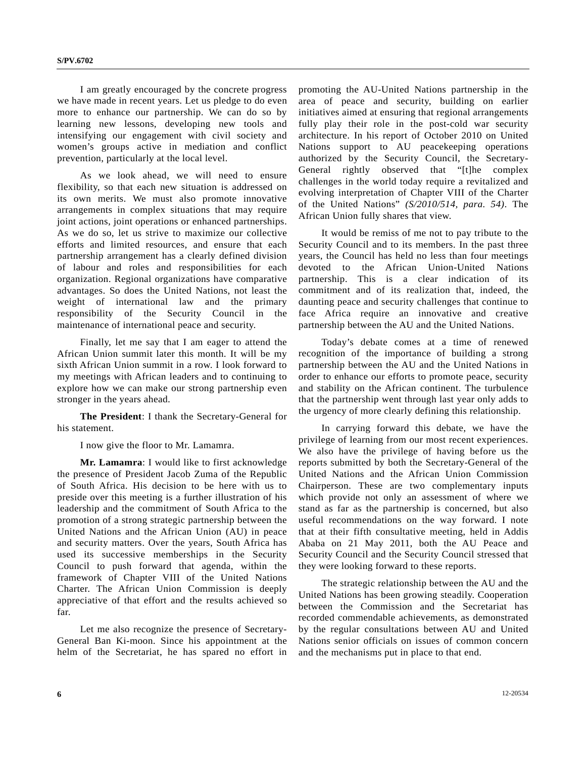I am greatly encouraged by the concrete progress we have made in recent years. Let us pledge to do even more to enhance our partnership. We can do so by learning new lessons, developing new tools and intensifying our engagement with civil society and women's groups active in mediation and conflict prevention, particularly at the local level.

 As we look ahead, we will need to ensure flexibility, so that each new situation is addressed on its own merits. We must also promote innovative arrangements in complex situations that may require joint actions, joint operations or enhanced partnerships. As we do so, let us strive to maximize our collective efforts and limited resources, and ensure that each partnership arrangement has a clearly defined division of labour and roles and responsibilities for each organization. Regional organizations have comparative advantages. So does the United Nations, not least the weight of international law and the primary responsibility of the Security Council in the maintenance of international peace and security.

 Finally, let me say that I am eager to attend the African Union summit later this month. It will be my sixth African Union summit in a row. I look forward to my meetings with African leaders and to continuing to explore how we can make our strong partnership even stronger in the years ahead.

 **The President**: I thank the Secretary-General for his statement.

I now give the floor to Mr. Lamamra.

**Mr. Lamamra**: I would like to first acknowledge the presence of President Jacob Zuma of the Republic of South Africa. His decision to be here with us to preside over this meeting is a further illustration of his leadership and the commitment of South Africa to the promotion of a strong strategic partnership between the United Nations and the African Union (AU) in peace and security matters. Over the years, South Africa has used its successive memberships in the Security Council to push forward that agenda, within the framework of Chapter VIII of the United Nations Charter. The African Union Commission is deeply appreciative of that effort and the results achieved so far.

 Let me also recognize the presence of Secretary-General Ban Ki-moon. Since his appointment at the helm of the Secretariat, he has spared no effort in promoting the AU-United Nations partnership in the area of peace and security, building on earlier initiatives aimed at ensuring that regional arrangements fully play their role in the post-cold war security architecture. In his report of October 2010 on United Nations support to AU peacekeeping operations authorized by the Security Council, the Secretary-General rightly observed that "[t]he complex challenges in the world today require a revitalized and evolving interpretation of Chapter VIII of the Charter of the United Nations" *(S/2010/514, para. 54)*. The African Union fully shares that view.

 It would be remiss of me not to pay tribute to the Security Council and to its members. In the past three years, the Council has held no less than four meetings devoted to the African Union-United Nations partnership. This is a clear indication of its commitment and of its realization that, indeed, the daunting peace and security challenges that continue to face Africa require an innovative and creative partnership between the AU and the United Nations.

 Today's debate comes at a time of renewed recognition of the importance of building a strong partnership between the AU and the United Nations in order to enhance our efforts to promote peace, security and stability on the African continent. The turbulence that the partnership went through last year only adds to the urgency of more clearly defining this relationship.

 In carrying forward this debate, we have the privilege of learning from our most recent experiences. We also have the privilege of having before us the reports submitted by both the Secretary-General of the United Nations and the African Union Commission Chairperson. These are two complementary inputs which provide not only an assessment of where we stand as far as the partnership is concerned, but also useful recommendations on the way forward. I note that at their fifth consultative meeting, held in Addis Ababa on 21 May 2011, both the AU Peace and Security Council and the Security Council stressed that they were looking forward to these reports.

 The strategic relationship between the AU and the United Nations has been growing steadily. Cooperation between the Commission and the Secretariat has recorded commendable achievements, as demonstrated by the regular consultations between AU and United Nations senior officials on issues of common concern and the mechanisms put in place to that end.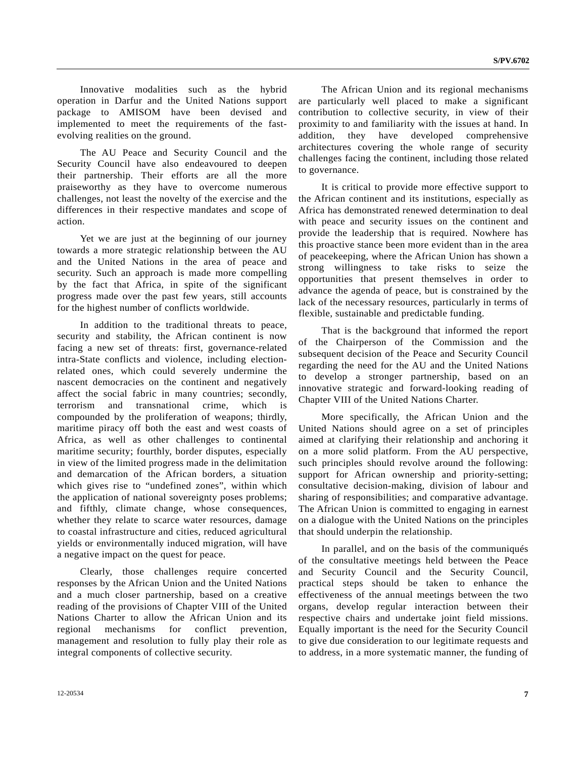Innovative modalities such as the hybrid operation in Darfur and the United Nations support package to AMISOM have been devised and implemented to meet the requirements of the fastevolving realities on the ground.

 The AU Peace and Security Council and the Security Council have also endeavoured to deepen their partnership. Their efforts are all the more praiseworthy as they have to overcome numerous challenges, not least the novelty of the exercise and the differences in their respective mandates and scope of action.

 Yet we are just at the beginning of our journey towards a more strategic relationship between the AU and the United Nations in the area of peace and security. Such an approach is made more compelling by the fact that Africa, in spite of the significant progress made over the past few years, still accounts for the highest number of conflicts worldwide.

 In addition to the traditional threats to peace, security and stability, the African continent is now facing a new set of threats: first, governance-related intra-State conflicts and violence, including electionrelated ones, which could severely undermine the nascent democracies on the continent and negatively affect the social fabric in many countries; secondly, terrorism and transnational crime, which is compounded by the proliferation of weapons; thirdly, maritime piracy off both the east and west coasts of Africa, as well as other challenges to continental maritime security; fourthly, border disputes, especially in view of the limited progress made in the delimitation and demarcation of the African borders, a situation which gives rise to "undefined zones", within which the application of national sovereignty poses problems; and fifthly, climate change, whose consequences, whether they relate to scarce water resources, damage to coastal infrastructure and cities, reduced agricultural yields or environmentally induced migration, will have a negative impact on the quest for peace.

 Clearly, those challenges require concerted responses by the African Union and the United Nations and a much closer partnership, based on a creative reading of the provisions of Chapter VIII of the United Nations Charter to allow the African Union and its regional mechanisms for conflict prevention, management and resolution to fully play their role as integral components of collective security.

 The African Union and its regional mechanisms are particularly well placed to make a significant contribution to collective security, in view of their proximity to and familiarity with the issues at hand. In addition, they have developed comprehensive architectures covering the whole range of security challenges facing the continent, including those related to governance.

 It is critical to provide more effective support to the African continent and its institutions, especially as Africa has demonstrated renewed determination to deal with peace and security issues on the continent and provide the leadership that is required. Nowhere has this proactive stance been more evident than in the area of peacekeeping, where the African Union has shown a strong willingness to take risks to seize the opportunities that present themselves in order to advance the agenda of peace, but is constrained by the lack of the necessary resources, particularly in terms of flexible, sustainable and predictable funding.

 That is the background that informed the report of the Chairperson of the Commission and the subsequent decision of the Peace and Security Council regarding the need for the AU and the United Nations to develop a stronger partnership, based on an innovative strategic and forward-looking reading of Chapter VIII of the United Nations Charter.

 More specifically, the African Union and the United Nations should agree on a set of principles aimed at clarifying their relationship and anchoring it on a more solid platform. From the AU perspective, such principles should revolve around the following: support for African ownership and priority-setting; consultative decision-making, division of labour and sharing of responsibilities; and comparative advantage. The African Union is committed to engaging in earnest on a dialogue with the United Nations on the principles that should underpin the relationship.

 In parallel, and on the basis of the communiqués of the consultative meetings held between the Peace and Security Council and the Security Council, practical steps should be taken to enhance the effectiveness of the annual meetings between the two organs, develop regular interaction between their respective chairs and undertake joint field missions. Equally important is the need for the Security Council to give due consideration to our legitimate requests and to address, in a more systematic manner, the funding of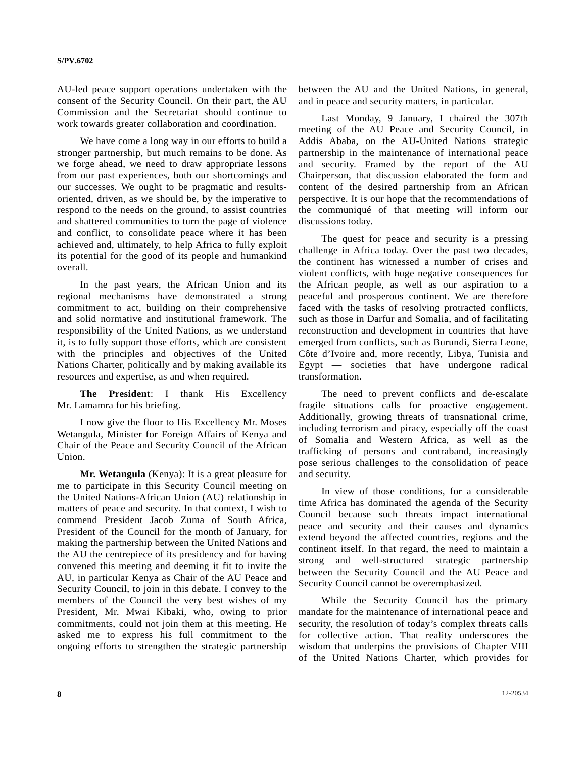AU-led peace support operations undertaken with the consent of the Security Council. On their part, the AU Commission and the Secretariat should continue to work towards greater collaboration and coordination.

 We have come a long way in our efforts to build a stronger partnership, but much remains to be done. As we forge ahead, we need to draw appropriate lessons from our past experiences, both our shortcomings and our successes. We ought to be pragmatic and resultsoriented, driven, as we should be, by the imperative to respond to the needs on the ground, to assist countries and shattered communities to turn the page of violence and conflict, to consolidate peace where it has been achieved and, ultimately, to help Africa to fully exploit its potential for the good of its people and humankind overall.

 In the past years, the African Union and its regional mechanisms have demonstrated a strong commitment to act, building on their comprehensive and solid normative and institutional framework. The responsibility of the United Nations, as we understand it, is to fully support those efforts, which are consistent with the principles and objectives of the United Nations Charter, politically and by making available its resources and expertise, as and when required.

**The President**: I thank His Excellency Mr. Lamamra for his briefing.

 I now give the floor to His Excellency Mr. Moses Wetangula, Minister for Foreign Affairs of Kenya and Chair of the Peace and Security Council of the African Union.

**Mr. Wetangula** (Kenya): It is a great pleasure for me to participate in this Security Council meeting on the United Nations-African Union (AU) relationship in matters of peace and security. In that context, I wish to commend President Jacob Zuma of South Africa, President of the Council for the month of January, for making the partnership between the United Nations and the AU the centrepiece of its presidency and for having convened this meeting and deeming it fit to invite the AU, in particular Kenya as Chair of the AU Peace and Security Council, to join in this debate. I convey to the members of the Council the very best wishes of my President, Mr. Mwai Kibaki, who, owing to prior commitments, could not join them at this meeting. He asked me to express his full commitment to the ongoing efforts to strengthen the strategic partnership

between the AU and the United Nations, in general, and in peace and security matters, in particular.

 Last Monday, 9 January, I chaired the 307th meeting of the AU Peace and Security Council, in Addis Ababa, on the AU-United Nations strategic partnership in the maintenance of international peace and security. Framed by the report of the AU Chairperson, that discussion elaborated the form and content of the desired partnership from an African perspective. It is our hope that the recommendations of the communiqué of that meeting will inform our discussions today.

 The quest for peace and security is a pressing challenge in Africa today. Over the past two decades, the continent has witnessed a number of crises and violent conflicts, with huge negative consequences for the African people, as well as our aspiration to a peaceful and prosperous continent. We are therefore faced with the tasks of resolving protracted conflicts, such as those in Darfur and Somalia, and of facilitating reconstruction and development in countries that have emerged from conflicts, such as Burundi, Sierra Leone, Côte d'Ivoire and, more recently, Libya, Tunisia and Egypt — societies that have undergone radical transformation.

 The need to prevent conflicts and de-escalate fragile situations calls for proactive engagement. Additionally, growing threats of transnational crime, including terrorism and piracy, especially off the coast of Somalia and Western Africa, as well as the trafficking of persons and contraband, increasingly pose serious challenges to the consolidation of peace and security.

 In view of those conditions, for a considerable time Africa has dominated the agenda of the Security Council because such threats impact international peace and security and their causes and dynamics extend beyond the affected countries, regions and the continent itself. In that regard, the need to maintain a strong and well-structured strategic partnership between the Security Council and the AU Peace and Security Council cannot be overemphasized.

 While the Security Council has the primary mandate for the maintenance of international peace and security, the resolution of today's complex threats calls for collective action. That reality underscores the wisdom that underpins the provisions of Chapter VIII of the United Nations Charter, which provides for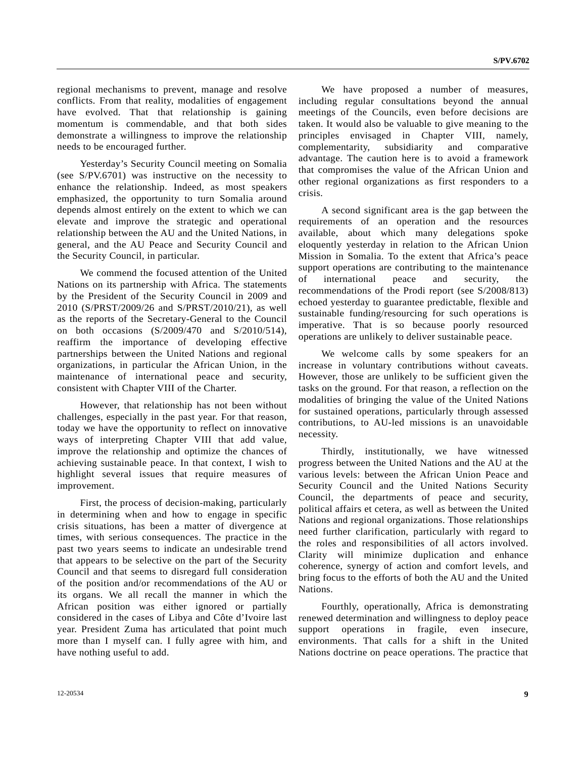regional mechanisms to prevent, manage and resolve conflicts. From that reality, modalities of engagement have evolved. That that relationship is gaining momentum is commendable, and that both sides demonstrate a willingness to improve the relationship needs to be encouraged further.

 Yesterday's Security Council meeting on Somalia (see S/PV.6701) was instructive on the necessity to enhance the relationship. Indeed, as most speakers emphasized, the opportunity to turn Somalia around depends almost entirely on the extent to which we can elevate and improve the strategic and operational relationship between the AU and the United Nations, in general, and the AU Peace and Security Council and the Security Council, in particular.

 We commend the focused attention of the United Nations on its partnership with Africa. The statements by the President of the Security Council in 2009 and 2010 (S/PRST/2009/26 and S/PRST/2010/21), as well as the reports of the Secretary-General to the Council on both occasions (S/2009/470 and S/2010/514), reaffirm the importance of developing effective partnerships between the United Nations and regional organizations, in particular the African Union, in the maintenance of international peace and security, consistent with Chapter VIII of the Charter.

 However, that relationship has not been without challenges, especially in the past year. For that reason, today we have the opportunity to reflect on innovative ways of interpreting Chapter VIII that add value, improve the relationship and optimize the chances of achieving sustainable peace. In that context, I wish to highlight several issues that require measures of improvement.

 First, the process of decision-making, particularly in determining when and how to engage in specific crisis situations, has been a matter of divergence at times, with serious consequences. The practice in the past two years seems to indicate an undesirable trend that appears to be selective on the part of the Security Council and that seems to disregard full consideration of the position and/or recommendations of the AU or its organs. We all recall the manner in which the African position was either ignored or partially considered in the cases of Libya and Côte d'Ivoire last year. President Zuma has articulated that point much more than I myself can. I fully agree with him, and have nothing useful to add.

 We have proposed a number of measures, including regular consultations beyond the annual meetings of the Councils, even before decisions are taken. It would also be valuable to give meaning to the principles envisaged in Chapter VIII, namely, complementarity, subsidiarity and comparative advantage. The caution here is to avoid a framework that compromises the value of the African Union and other regional organizations as first responders to a crisis.

 A second significant area is the gap between the requirements of an operation and the resources available, about which many delegations spoke eloquently yesterday in relation to the African Union Mission in Somalia. To the extent that Africa's peace support operations are contributing to the maintenance of international peace and security, the recommendations of the Prodi report (see S/2008/813) echoed yesterday to guarantee predictable, flexible and sustainable funding/resourcing for such operations is imperative. That is so because poorly resourced operations are unlikely to deliver sustainable peace.

 We welcome calls by some speakers for an increase in voluntary contributions without caveats. However, those are unlikely to be sufficient given the tasks on the ground. For that reason, a reflection on the modalities of bringing the value of the United Nations for sustained operations, particularly through assessed contributions, to AU-led missions is an unavoidable necessity.

 Thirdly, institutionally, we have witnessed progress between the United Nations and the AU at the various levels: between the African Union Peace and Security Council and the United Nations Security Council, the departments of peace and security, political affairs et cetera, as well as between the United Nations and regional organizations. Those relationships need further clarification, particularly with regard to the roles and responsibilities of all actors involved. Clarity will minimize duplication and enhance coherence, synergy of action and comfort levels, and bring focus to the efforts of both the AU and the United Nations.

 Fourthly, operationally, Africa is demonstrating renewed determination and willingness to deploy peace support operations in fragile, even insecure, environments. That calls for a shift in the United Nations doctrine on peace operations. The practice that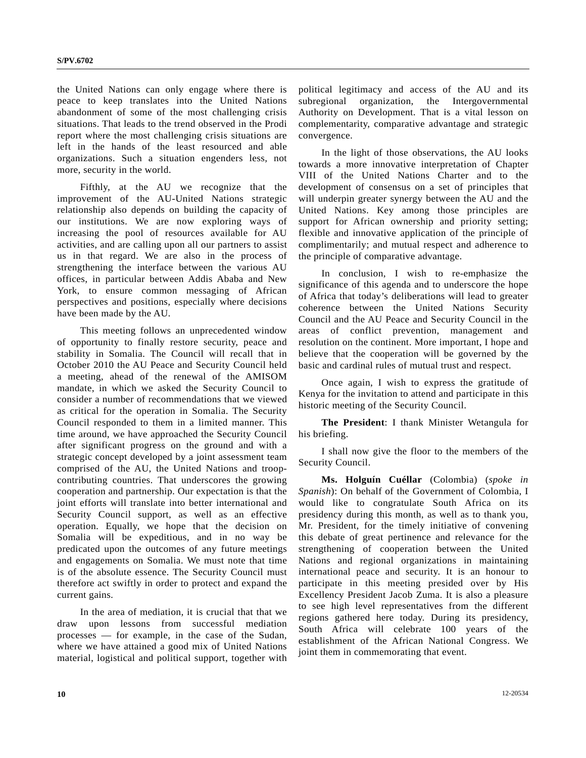the United Nations can only engage where there is peace to keep translates into the United Nations abandonment of some of the most challenging crisis situations. That leads to the trend observed in the Prodi report where the most challenging crisis situations are left in the hands of the least resourced and able organizations. Such a situation engenders less, not more, security in the world.

 Fifthly, at the AU we recognize that the improvement of the AU-United Nations strategic relationship also depends on building the capacity of our institutions. We are now exploring ways of increasing the pool of resources available for AU activities, and are calling upon all our partners to assist us in that regard. We are also in the process of strengthening the interface between the various AU offices, in particular between Addis Ababa and New York, to ensure common messaging of African perspectives and positions, especially where decisions have been made by the AU.

 This meeting follows an unprecedented window of opportunity to finally restore security, peace and stability in Somalia. The Council will recall that in October 2010 the AU Peace and Security Council held a meeting, ahead of the renewal of the AMISOM mandate, in which we asked the Security Council to consider a number of recommendations that we viewed as critical for the operation in Somalia. The Security Council responded to them in a limited manner. This time around, we have approached the Security Council after significant progress on the ground and with a strategic concept developed by a joint assessment team comprised of the AU, the United Nations and troopcontributing countries. That underscores the growing cooperation and partnership. Our expectation is that the joint efforts will translate into better international and Security Council support, as well as an effective operation. Equally, we hope that the decision on Somalia will be expeditious, and in no way be predicated upon the outcomes of any future meetings and engagements on Somalia. We must note that time is of the absolute essence. The Security Council must therefore act swiftly in order to protect and expand the current gains.

 In the area of mediation, it is crucial that that we draw upon lessons from successful mediation processes — for example, in the case of the Sudan, where we have attained a good mix of United Nations material, logistical and political support, together with

political legitimacy and access of the AU and its subregional organization, the Intergovernmental Authority on Development. That is a vital lesson on complementarity, comparative advantage and strategic convergence.

 In the light of those observations, the AU looks towards a more innovative interpretation of Chapter VIII of the United Nations Charter and to the development of consensus on a set of principles that will underpin greater synergy between the AU and the United Nations. Key among those principles are support for African ownership and priority setting; flexible and innovative application of the principle of complimentarily; and mutual respect and adherence to the principle of comparative advantage.

 In conclusion, I wish to re-emphasize the significance of this agenda and to underscore the hope of Africa that today's deliberations will lead to greater coherence between the United Nations Security Council and the AU Peace and Security Council in the areas of conflict prevention, management and resolution on the continent. More important, I hope and believe that the cooperation will be governed by the basic and cardinal rules of mutual trust and respect.

 Once again, I wish to express the gratitude of Kenya for the invitation to attend and participate in this historic meeting of the Security Council.

**The President**: I thank Minister Wetangula for his briefing.

 I shall now give the floor to the members of the Security Council.

**Ms. Holguín Cuéllar** (Colombia) (*spoke in Spanish*): On behalf of the Government of Colombia, I would like to congratulate South Africa on its presidency during this month, as well as to thank you, Mr. President, for the timely initiative of convening this debate of great pertinence and relevance for the strengthening of cooperation between the United Nations and regional organizations in maintaining international peace and security. It is an honour to participate in this meeting presided over by His Excellency President Jacob Zuma. It is also a pleasure to see high level representatives from the different regions gathered here today. During its presidency, South Africa will celebrate 100 years of the establishment of the African National Congress. We joint them in commemorating that event.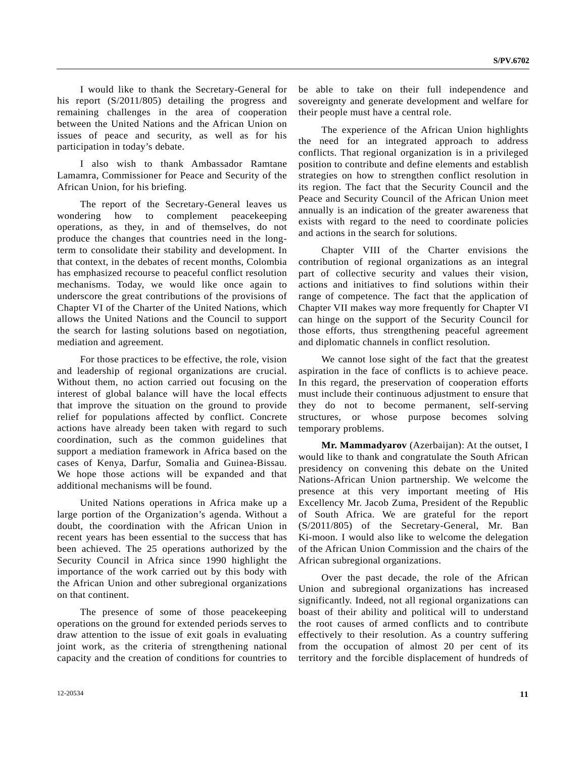I would like to thank the Secretary-General for his report (S/2011/805) detailing the progress and remaining challenges in the area of cooperation between the United Nations and the African Union on issues of peace and security, as well as for his participation in today's debate.

 I also wish to thank Ambassador Ramtane Lamamra, Commissioner for Peace and Security of the African Union, for his briefing.

 The report of the Secretary-General leaves us wondering how to complement peacekeeping operations, as they, in and of themselves, do not produce the changes that countries need in the longterm to consolidate their stability and development. In that context, in the debates of recent months, Colombia has emphasized recourse to peaceful conflict resolution mechanisms. Today, we would like once again to underscore the great contributions of the provisions of Chapter VI of the Charter of the United Nations, which allows the United Nations and the Council to support the search for lasting solutions based on negotiation, mediation and agreement.

 For those practices to be effective, the role, vision and leadership of regional organizations are crucial. Without them, no action carried out focusing on the interest of global balance will have the local effects that improve the situation on the ground to provide relief for populations affected by conflict. Concrete actions have already been taken with regard to such coordination, such as the common guidelines that support a mediation framework in Africa based on the cases of Kenya, Darfur, Somalia and Guinea-Bissau. We hope those actions will be expanded and that additional mechanisms will be found.

 United Nations operations in Africa make up a large portion of the Organization's agenda. Without a doubt, the coordination with the African Union in recent years has been essential to the success that has been achieved. The 25 operations authorized by the Security Council in Africa since 1990 highlight the importance of the work carried out by this body with the African Union and other subregional organizations on that continent.

 The presence of some of those peacekeeping operations on the ground for extended periods serves to draw attention to the issue of exit goals in evaluating joint work, as the criteria of strengthening national capacity and the creation of conditions for countries to be able to take on their full independence and sovereignty and generate development and welfare for their people must have a central role.

 The experience of the African Union highlights the need for an integrated approach to address conflicts. That regional organization is in a privileged position to contribute and define elements and establish strategies on how to strengthen conflict resolution in its region. The fact that the Security Council and the Peace and Security Council of the African Union meet annually is an indication of the greater awareness that exists with regard to the need to coordinate policies and actions in the search for solutions.

 Chapter VIII of the Charter envisions the contribution of regional organizations as an integral part of collective security and values their vision, actions and initiatives to find solutions within their range of competence. The fact that the application of Chapter VII makes way more frequently for Chapter VI can hinge on the support of the Security Council for those efforts, thus strengthening peaceful agreement and diplomatic channels in conflict resolution.

 We cannot lose sight of the fact that the greatest aspiration in the face of conflicts is to achieve peace. In this regard, the preservation of cooperation efforts must include their continuous adjustment to ensure that they do not to become permanent, self-serving structures, or whose purpose becomes solving temporary problems.

**Mr. Mammadyarov** (Azerbaijan): At the outset, I would like to thank and congratulate the South African presidency on convening this debate on the United Nations-African Union partnership. We welcome the presence at this very important meeting of His Excellency Mr. Jacob Zuma, President of the Republic of South Africa. We are grateful for the report (S/2011/805) of the Secretary-General, Mr. Ban Ki-moon. I would also like to welcome the delegation of the African Union Commission and the chairs of the African subregional organizations.

 Over the past decade, the role of the African Union and subregional organizations has increased significantly. Indeed, not all regional organizations can boast of their ability and political will to understand the root causes of armed conflicts and to contribute effectively to their resolution. As a country suffering from the occupation of almost 20 per cent of its territory and the forcible displacement of hundreds of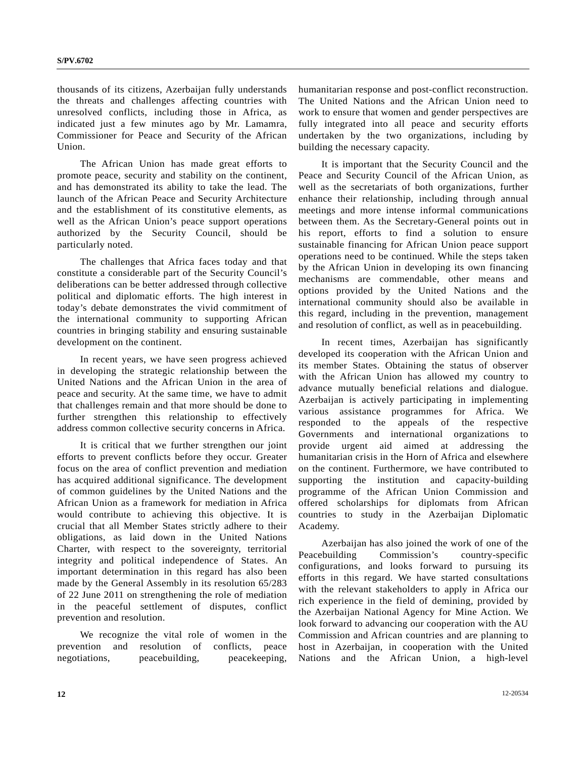thousands of its citizens, Azerbaijan fully understands the threats and challenges affecting countries with unresolved conflicts, including those in Africa, as indicated just a few minutes ago by Mr. Lamamra, Commissioner for Peace and Security of the African Union.

 The African Union has made great efforts to promote peace, security and stability on the continent, and has demonstrated its ability to take the lead. The launch of the African Peace and Security Architecture and the establishment of its constitutive elements, as well as the African Union's peace support operations authorized by the Security Council, should be particularly noted.

 The challenges that Africa faces today and that constitute a considerable part of the Security Council's deliberations can be better addressed through collective political and diplomatic efforts. The high interest in today's debate demonstrates the vivid commitment of the international community to supporting African countries in bringing stability and ensuring sustainable development on the continent.

 In recent years, we have seen progress achieved in developing the strategic relationship between the United Nations and the African Union in the area of peace and security. At the same time, we have to admit that challenges remain and that more should be done to further strengthen this relationship to effectively address common collective security concerns in Africa.

 It is critical that we further strengthen our joint efforts to prevent conflicts before they occur. Greater focus on the area of conflict prevention and mediation has acquired additional significance. The development of common guidelines by the United Nations and the African Union as a framework for mediation in Africa would contribute to achieving this objective. It is crucial that all Member States strictly adhere to their obligations, as laid down in the United Nations Charter, with respect to the sovereignty, territorial integrity and political independence of States. An important determination in this regard has also been made by the General Assembly in its resolution 65/283 of 22 June 2011 on strengthening the role of mediation in the peaceful settlement of disputes, conflict prevention and resolution.

 We recognize the vital role of women in the prevention and resolution of conflicts, peace negotiations, peacebuilding, peacekeeping, humanitarian response and post-conflict reconstruction. The United Nations and the African Union need to work to ensure that women and gender perspectives are fully integrated into all peace and security efforts undertaken by the two organizations, including by building the necessary capacity.

 It is important that the Security Council and the Peace and Security Council of the African Union, as well as the secretariats of both organizations, further enhance their relationship, including through annual meetings and more intense informal communications between them. As the Secretary-General points out in his report, efforts to find a solution to ensure sustainable financing for African Union peace support operations need to be continued. While the steps taken by the African Union in developing its own financing mechanisms are commendable, other means and options provided by the United Nations and the international community should also be available in this regard, including in the prevention, management and resolution of conflict, as well as in peacebuilding.

 In recent times, Azerbaijan has significantly developed its cooperation with the African Union and its member States. Obtaining the status of observer with the African Union has allowed my country to advance mutually beneficial relations and dialogue. Azerbaijan is actively participating in implementing various assistance programmes for Africa. We responded to the appeals of the respective Governments and international organizations to provide urgent aid aimed at addressing the humanitarian crisis in the Horn of Africa and elsewhere on the continent. Furthermore, we have contributed to supporting the institution and capacity-building programme of the African Union Commission and offered scholarships for diplomats from African countries to study in the Azerbaijan Diplomatic Academy.

 Azerbaijan has also joined the work of one of the Peacebuilding Commission's country-specific configurations, and looks forward to pursuing its efforts in this regard. We have started consultations with the relevant stakeholders to apply in Africa our rich experience in the field of demining, provided by the Azerbaijan National Agency for Mine Action. We look forward to advancing our cooperation with the AU Commission and African countries and are planning to host in Azerbaijan, in cooperation with the United Nations and the African Union, a high-level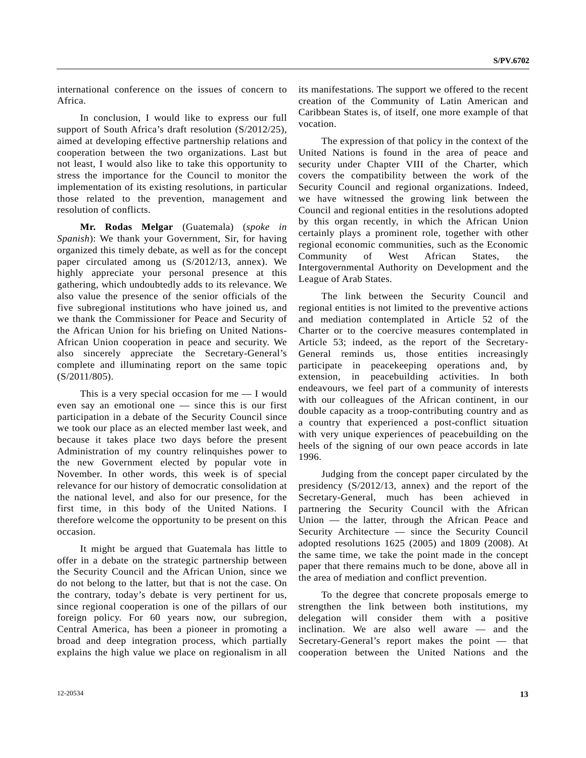international conference on the issues of concern to Africa.

 In conclusion, I would like to express our full support of South Africa's draft resolution (S/2012/25), aimed at developing effective partnership relations and cooperation between the two organizations. Last but not least, I would also like to take this opportunity to stress the importance for the Council to monitor the implementation of its existing resolutions, in particular those related to the prevention, management and resolution of conflicts.

**Mr. Rodas Melgar** (Guatemala) (*spoke in Spanish*): We thank your Government, Sir, for having organized this timely debate, as well as for the concept paper circulated among us (S/2012/13, annex). We highly appreciate your personal presence at this gathering, which undoubtedly adds to its relevance. We also value the presence of the senior officials of the five subregional institutions who have joined us, and we thank the Commissioner for Peace and Security of the African Union for his briefing on United Nations-African Union cooperation in peace and security. We also sincerely appreciate the Secretary-General's complete and illuminating report on the same topic (S/2011/805).

This is a very special occasion for  $me - I$  would even say an emotional one — since this is our first participation in a debate of the Security Council since we took our place as an elected member last week, and because it takes place two days before the present Administration of my country relinquishes power to the new Government elected by popular vote in November. In other words, this week is of special relevance for our history of democratic consolidation at the national level, and also for our presence, for the first time, in this body of the United Nations. I therefore welcome the opportunity to be present on this occasion.

 It might be argued that Guatemala has little to offer in a debate on the strategic partnership between the Security Council and the African Union, since we do not belong to the latter, but that is not the case. On the contrary, today's debate is very pertinent for us, since regional cooperation is one of the pillars of our foreign policy. For 60 years now, our subregion, Central America, has been a pioneer in promoting a broad and deep integration process, which partially explains the high value we place on regionalism in all its manifestations. The support we offered to the recent creation of the Community of Latin American and Caribbean States is, of itself, one more example of that vocation.

 The expression of that policy in the context of the United Nations is found in the area of peace and security under Chapter VIII of the Charter, which covers the compatibility between the work of the Security Council and regional organizations. Indeed, we have witnessed the growing link between the Council and regional entities in the resolutions adopted by this organ recently, in which the African Union certainly plays a prominent role, together with other regional economic communities, such as the Economic Community of West African States, the Intergovernmental Authority on Development and the League of Arab States.

 The link between the Security Council and regional entities is not limited to the preventive actions and mediation contemplated in Article 52 of the Charter or to the coercive measures contemplated in Article 53; indeed, as the report of the Secretary-General reminds us, those entities increasingly participate in peacekeeping operations and, by extension, in peacebuilding activities. In both endeavours, we feel part of a community of interests with our colleagues of the African continent, in our double capacity as a troop-contributing country and as a country that experienced a post-conflict situation with very unique experiences of peacebuilding on the heels of the signing of our own peace accords in late 1996.

 Judging from the concept paper circulated by the presidency (S/2012/13, annex) and the report of the Secretary-General, much has been achieved in partnering the Security Council with the African Union — the latter, through the African Peace and Security Architecture — since the Security Council adopted resolutions 1625 (2005) and 1809 (2008). At the same time, we take the point made in the concept paper that there remains much to be done, above all in the area of mediation and conflict prevention.

 To the degree that concrete proposals emerge to strengthen the link between both institutions, my delegation will consider them with a positive inclination. We are also well aware — and the Secretary-General's report makes the point — that cooperation between the United Nations and the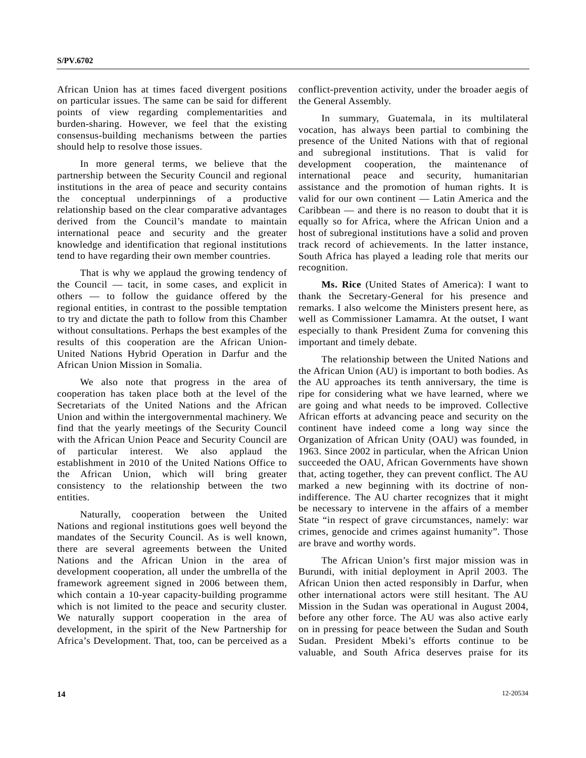African Union has at times faced divergent positions on particular issues. The same can be said for different points of view regarding complementarities and burden-sharing. However, we feel that the existing consensus-building mechanisms between the parties should help to resolve those issues.

 In more general terms, we believe that the partnership between the Security Council and regional institutions in the area of peace and security contains the conceptual underpinnings of a productive relationship based on the clear comparative advantages derived from the Council's mandate to maintain international peace and security and the greater knowledge and identification that regional institutions tend to have regarding their own member countries.

 That is why we applaud the growing tendency of the Council — tacit, in some cases, and explicit in others — to follow the guidance offered by the regional entities, in contrast to the possible temptation to try and dictate the path to follow from this Chamber without consultations. Perhaps the best examples of the results of this cooperation are the African Union-United Nations Hybrid Operation in Darfur and the African Union Mission in Somalia.

 We also note that progress in the area of cooperation has taken place both at the level of the Secretariats of the United Nations and the African Union and within the intergovernmental machinery. We find that the yearly meetings of the Security Council with the African Union Peace and Security Council are of particular interest. We also applaud the establishment in 2010 of the United Nations Office to the African Union, which will bring greater consistency to the relationship between the two entities.

 Naturally, cooperation between the United Nations and regional institutions goes well beyond the mandates of the Security Council. As is well known, there are several agreements between the United Nations and the African Union in the area of development cooperation, all under the umbrella of the framework agreement signed in 2006 between them, which contain a 10-year capacity-building programme which is not limited to the peace and security cluster. We naturally support cooperation in the area of development, in the spirit of the New Partnership for Africa's Development. That, too, can be perceived as a conflict-prevention activity, under the broader aegis of the General Assembly.

 In summary, Guatemala, in its multilateral vocation, has always been partial to combining the presence of the United Nations with that of regional and subregional institutions. That is valid for development cooperation, the maintenance of international peace and security, humanitarian assistance and the promotion of human rights. It is valid for our own continent — Latin America and the Caribbean — and there is no reason to doubt that it is equally so for Africa, where the African Union and a host of subregional institutions have a solid and proven track record of achievements. In the latter instance, South Africa has played a leading role that merits our recognition.

 **Ms. Rice** (United States of America): I want to thank the Secretary-General for his presence and remarks. I also welcome the Ministers present here, as well as Commissioner Lamamra. At the outset, I want especially to thank President Zuma for convening this important and timely debate.

 The relationship between the United Nations and the African Union (AU) is important to both bodies. As the AU approaches its tenth anniversary, the time is ripe for considering what we have learned, where we are going and what needs to be improved. Collective African efforts at advancing peace and security on the continent have indeed come a long way since the Organization of African Unity (OAU) was founded, in 1963. Since 2002 in particular, when the African Union succeeded the OAU, African Governments have shown that, acting together, they can prevent conflict. The AU marked a new beginning with its doctrine of nonindifference. The AU charter recognizes that it might be necessary to intervene in the affairs of a member State "in respect of grave circumstances, namely: war crimes, genocide and crimes against humanity". Those are brave and worthy words.

 The African Union's first major mission was in Burundi, with initial deployment in April 2003. The African Union then acted responsibly in Darfur, when other international actors were still hesitant. The AU Mission in the Sudan was operational in August 2004, before any other force. The AU was also active early on in pressing for peace between the Sudan and South Sudan. President Mbeki's efforts continue to be valuable, and South Africa deserves praise for its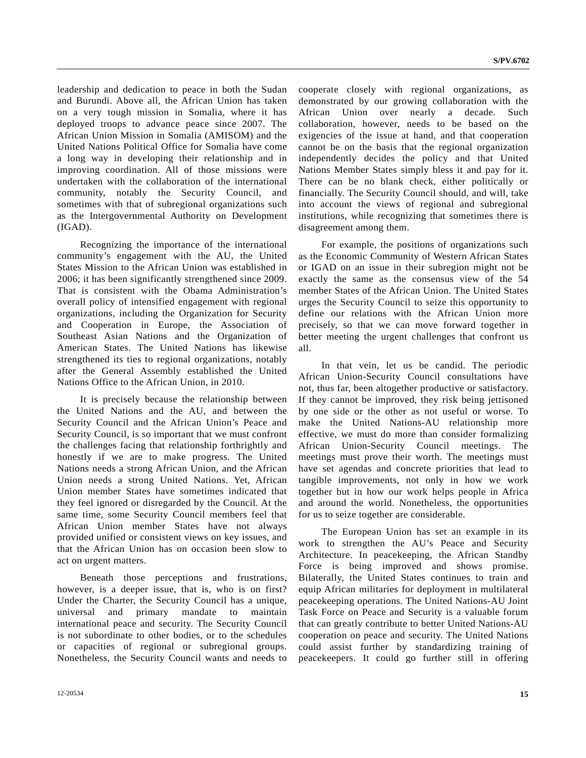leadership and dedication to peace in both the Sudan and Burundi. Above all, the African Union has taken on a very tough mission in Somalia, where it has deployed troops to advance peace since 2007. The African Union Mission in Somalia (AMISOM) and the United Nations Political Office for Somalia have come a long way in developing their relationship and in improving coordination. All of those missions were undertaken with the collaboration of the international community, notably the Security Council, and sometimes with that of subregional organizations such as the Intergovernmental Authority on Development (IGAD).

 Recognizing the importance of the international community's engagement with the AU, the United States Mission to the African Union was established in 2006; it has been significantly strengthened since 2009. That is consistent with the Obama Administration's overall policy of intensified engagement with regional organizations, including the Organization for Security and Cooperation in Europe, the Association of Southeast Asian Nations and the Organization of American States. The United Nations has likewise strengthened its ties to regional organizations, notably after the General Assembly established the United Nations Office to the African Union, in 2010.

 It is precisely because the relationship between the United Nations and the AU, and between the Security Council and the African Union's Peace and Security Council, is so important that we must confront the challenges facing that relationship forthrightly and honestly if we are to make progress. The United Nations needs a strong African Union, and the African Union needs a strong United Nations. Yet, African Union member States have sometimes indicated that they feel ignored or disregarded by the Council. At the same time, some Security Council members feel that African Union member States have not always provided unified or consistent views on key issues, and that the African Union has on occasion been slow to act on urgent matters.

 Beneath those perceptions and frustrations, however, is a deeper issue, that is, who is on first? Under the Charter, the Security Council has a unique, universal and primary mandate to maintain international peace and security. The Security Council is not subordinate to other bodies, or to the schedules or capacities of regional or subregional groups. Nonetheless, the Security Council wants and needs to cooperate closely with regional organizations, as demonstrated by our growing collaboration with the African Union over nearly a decade. Such collaboration, however, needs to be based on the exigencies of the issue at hand, and that cooperation cannot be on the basis that the regional organization independently decides the policy and that United Nations Member States simply bless it and pay for it. There can be no blank check, either politically or financially. The Security Council should, and will, take into account the views of regional and subregional institutions, while recognizing that sometimes there is disagreement among them.

 For example, the positions of organizations such as the Economic Community of Western African States or IGAD on an issue in their subregion might not be exactly the same as the consensus view of the 54 member States of the African Union. The United States urges the Security Council to seize this opportunity to define our relations with the African Union more precisely, so that we can move forward together in better meeting the urgent challenges that confront us all.

 In that vein, let us be candid. The periodic African Union-Security Council consultations have not, thus far, been altogether productive or satisfactory. If they cannot be improved, they risk being jettisoned by one side or the other as not useful or worse. To make the United Nations-AU relationship more effective, we must do more than consider formalizing African Union-Security Council meetings. The meetings must prove their worth. The meetings must have set agendas and concrete priorities that lead to tangible improvements, not only in how we work together but in how our work helps people in Africa and around the world. Nonetheless, the opportunities for us to seize together are considerable.

 The European Union has set an example in its work to strengthen the AU's Peace and Security Architecture. In peacekeeping, the African Standby Force is being improved and shows promise. Bilaterally, the United States continues to train and equip African militaries for deployment in multilateral peacekeeping operations. The United Nations-AU Joint Task Force on Peace and Security is a valuable forum that can greatly contribute to better United Nations-AU cooperation on peace and security. The United Nations could assist further by standardizing training of peacekeepers. It could go further still in offering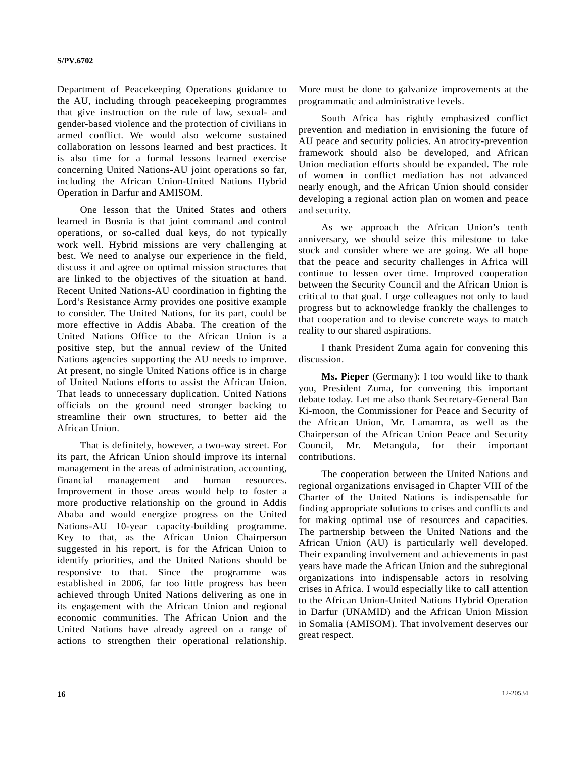Department of Peacekeeping Operations guidance to the AU, including through peacekeeping programmes that give instruction on the rule of law, sexual- and gender-based violence and the protection of civilians in armed conflict. We would also welcome sustained collaboration on lessons learned and best practices. It is also time for a formal lessons learned exercise concerning United Nations-AU joint operations so far, including the African Union-United Nations Hybrid Operation in Darfur and AMISOM.

 One lesson that the United States and others learned in Bosnia is that joint command and control operations, or so-called dual keys, do not typically work well. Hybrid missions are very challenging at best. We need to analyse our experience in the field, discuss it and agree on optimal mission structures that are linked to the objectives of the situation at hand. Recent United Nations-AU coordination in fighting the Lord's Resistance Army provides one positive example to consider. The United Nations, for its part, could be more effective in Addis Ababa. The creation of the United Nations Office to the African Union is a positive step, but the annual review of the United Nations agencies supporting the AU needs to improve. At present, no single United Nations office is in charge of United Nations efforts to assist the African Union. That leads to unnecessary duplication. United Nations officials on the ground need stronger backing to streamline their own structures, to better aid the African Union.

 That is definitely, however, a two-way street. For its part, the African Union should improve its internal management in the areas of administration, accounting, financial management and human resources. Improvement in those areas would help to foster a more productive relationship on the ground in Addis Ababa and would energize progress on the United Nations-AU 10-year capacity-building programme. Key to that, as the African Union Chairperson suggested in his report, is for the African Union to identify priorities, and the United Nations should be responsive to that. Since the programme was established in 2006, far too little progress has been achieved through United Nations delivering as one in its engagement with the African Union and regional economic communities. The African Union and the United Nations have already agreed on a range of actions to strengthen their operational relationship.

More must be done to galvanize improvements at the programmatic and administrative levels.

 South Africa has rightly emphasized conflict prevention and mediation in envisioning the future of AU peace and security policies. An atrocity-prevention framework should also be developed, and African Union mediation efforts should be expanded. The role of women in conflict mediation has not advanced nearly enough, and the African Union should consider developing a regional action plan on women and peace and security.

 As we approach the African Union's tenth anniversary, we should seize this milestone to take stock and consider where we are going. We all hope that the peace and security challenges in Africa will continue to lessen over time. Improved cooperation between the Security Council and the African Union is critical to that goal. I urge colleagues not only to laud progress but to acknowledge frankly the challenges to that cooperation and to devise concrete ways to match reality to our shared aspirations.

 I thank President Zuma again for convening this discussion.

**Ms. Pieper** (Germany): I too would like to thank you, President Zuma, for convening this important debate today. Let me also thank Secretary-General Ban Ki-moon, the Commissioner for Peace and Security of the African Union, Mr. Lamamra, as well as the Chairperson of the African Union Peace and Security Council, Mr. Metangula, for their important contributions.

 The cooperation between the United Nations and regional organizations envisaged in Chapter VIII of the Charter of the United Nations is indispensable for finding appropriate solutions to crises and conflicts and for making optimal use of resources and capacities. The partnership between the United Nations and the African Union (AU) is particularly well developed. Their expanding involvement and achievements in past years have made the African Union and the subregional organizations into indispensable actors in resolving crises in Africa. I would especially like to call attention to the African Union-United Nations Hybrid Operation in Darfur (UNAMID) and the African Union Mission in Somalia (AMISOM). That involvement deserves our great respect.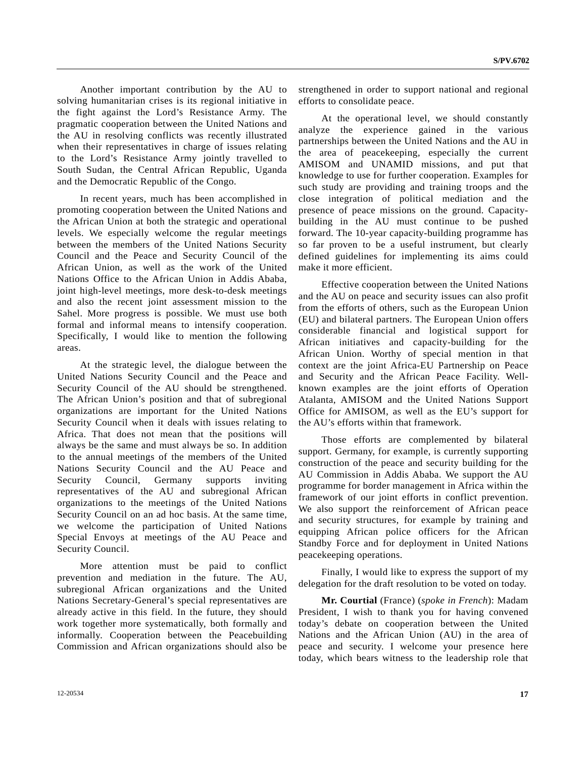Another important contribution by the AU to solving humanitarian crises is its regional initiative in the fight against the Lord's Resistance Army. The pragmatic cooperation between the United Nations and the AU in resolving conflicts was recently illustrated when their representatives in charge of issues relating to the Lord's Resistance Army jointly travelled to South Sudan, the Central African Republic, Uganda and the Democratic Republic of the Congo.

 In recent years, much has been accomplished in promoting cooperation between the United Nations and the African Union at both the strategic and operational levels. We especially welcome the regular meetings between the members of the United Nations Security Council and the Peace and Security Council of the African Union, as well as the work of the United Nations Office to the African Union in Addis Ababa, joint high-level meetings, more desk-to-desk meetings and also the recent joint assessment mission to the Sahel. More progress is possible. We must use both formal and informal means to intensify cooperation. Specifically, I would like to mention the following areas.

 At the strategic level, the dialogue between the United Nations Security Council and the Peace and Security Council of the AU should be strengthened. The African Union's position and that of subregional organizations are important for the United Nations Security Council when it deals with issues relating to Africa. That does not mean that the positions will always be the same and must always be so. In addition to the annual meetings of the members of the United Nations Security Council and the AU Peace and Security Council, Germany supports inviting representatives of the AU and subregional African organizations to the meetings of the United Nations Security Council on an ad hoc basis. At the same time, we welcome the participation of United Nations Special Envoys at meetings of the AU Peace and Security Council.

 More attention must be paid to conflict prevention and mediation in the future. The AU, subregional African organizations and the United Nations Secretary-General's special representatives are already active in this field. In the future, they should work together more systematically, both formally and informally. Cooperation between the Peacebuilding Commission and African organizations should also be

strengthened in order to support national and regional efforts to consolidate peace.

 At the operational level, we should constantly analyze the experience gained in the various partnerships between the United Nations and the AU in the area of peacekeeping, especially the current AMISOM and UNAMID missions, and put that knowledge to use for further cooperation. Examples for such study are providing and training troops and the close integration of political mediation and the presence of peace missions on the ground. Capacitybuilding in the AU must continue to be pushed forward. The 10-year capacity-building programme has so far proven to be a useful instrument, but clearly defined guidelines for implementing its aims could make it more efficient.

 Effective cooperation between the United Nations and the AU on peace and security issues can also profit from the efforts of others, such as the European Union (EU) and bilateral partners. The European Union offers considerable financial and logistical support for African initiatives and capacity-building for the African Union. Worthy of special mention in that context are the joint Africa-EU Partnership on Peace and Security and the African Peace Facility. Wellknown examples are the joint efforts of Operation Atalanta, AMISOM and the United Nations Support Office for AMISOM, as well as the EU's support for the AU's efforts within that framework.

 Those efforts are complemented by bilateral support. Germany, for example, is currently supporting construction of the peace and security building for the AU Commission in Addis Ababa. We support the AU programme for border management in Africa within the framework of our joint efforts in conflict prevention. We also support the reinforcement of African peace and security structures, for example by training and equipping African police officers for the African Standby Force and for deployment in United Nations peacekeeping operations.

 Finally, I would like to express the support of my delegation for the draft resolution to be voted on today.

**Mr. Courtial** (France) (*spoke in French*): Madam President, I wish to thank you for having convened today's debate on cooperation between the United Nations and the African Union (AU) in the area of peace and security. I welcome your presence here today, which bears witness to the leadership role that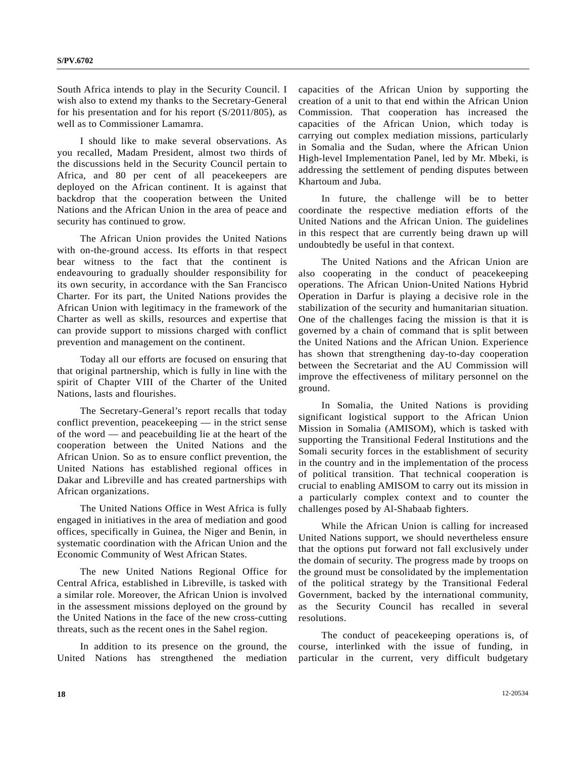South Africa intends to play in the Security Council. I wish also to extend my thanks to the Secretary-General for his presentation and for his report (S/2011/805), as well as to Commissioner Lamamra.

 I should like to make several observations. As you recalled, Madam President, almost two thirds of the discussions held in the Security Council pertain to Africa, and 80 per cent of all peacekeepers are deployed on the African continent. It is against that backdrop that the cooperation between the United Nations and the African Union in the area of peace and security has continued to grow.

 The African Union provides the United Nations with on-the-ground access. Its efforts in that respect bear witness to the fact that the continent is endeavouring to gradually shoulder responsibility for its own security, in accordance with the San Francisco Charter. For its part, the United Nations provides the African Union with legitimacy in the framework of the Charter as well as skills, resources and expertise that can provide support to missions charged with conflict prevention and management on the continent.

 Today all our efforts are focused on ensuring that that original partnership, which is fully in line with the spirit of Chapter VIII of the Charter of the United Nations, lasts and flourishes.

 The Secretary-General's report recalls that today conflict prevention, peacekeeping — in the strict sense of the word — and peacebuilding lie at the heart of the cooperation between the United Nations and the African Union. So as to ensure conflict prevention, the United Nations has established regional offices in Dakar and Libreville and has created partnerships with African organizations.

 The United Nations Office in West Africa is fully engaged in initiatives in the area of mediation and good offices, specifically in Guinea, the Niger and Benin, in systematic coordination with the African Union and the Economic Community of West African States.

 The new United Nations Regional Office for Central Africa, established in Libreville, is tasked with a similar role. Moreover, the African Union is involved in the assessment missions deployed on the ground by the United Nations in the face of the new cross-cutting threats, such as the recent ones in the Sahel region.

 In addition to its presence on the ground, the United Nations has strengthened the mediation capacities of the African Union by supporting the creation of a unit to that end within the African Union Commission. That cooperation has increased the capacities of the African Union, which today is carrying out complex mediation missions, particularly in Somalia and the Sudan, where the African Union High-level Implementation Panel, led by Mr. Mbeki, is addressing the settlement of pending disputes between Khartoum and Juba.

 In future, the challenge will be to better coordinate the respective mediation efforts of the United Nations and the African Union. The guidelines in this respect that are currently being drawn up will undoubtedly be useful in that context.

 The United Nations and the African Union are also cooperating in the conduct of peacekeeping operations. The African Union-United Nations Hybrid Operation in Darfur is playing a decisive role in the stabilization of the security and humanitarian situation. One of the challenges facing the mission is that it is governed by a chain of command that is split between the United Nations and the African Union. Experience has shown that strengthening day-to-day cooperation between the Secretariat and the AU Commission will improve the effectiveness of military personnel on the ground.

 In Somalia, the United Nations is providing significant logistical support to the African Union Mission in Somalia (AMISOM), which is tasked with supporting the Transitional Federal Institutions and the Somali security forces in the establishment of security in the country and in the implementation of the process of political transition. That technical cooperation is crucial to enabling AMISOM to carry out its mission in a particularly complex context and to counter the challenges posed by Al-Shabaab fighters.

 While the African Union is calling for increased United Nations support, we should nevertheless ensure that the options put forward not fall exclusively under the domain of security. The progress made by troops on the ground must be consolidated by the implementation of the political strategy by the Transitional Federal Government, backed by the international community, as the Security Council has recalled in several resolutions.

 The conduct of peacekeeping operations is, of course, interlinked with the issue of funding, in particular in the current, very difficult budgetary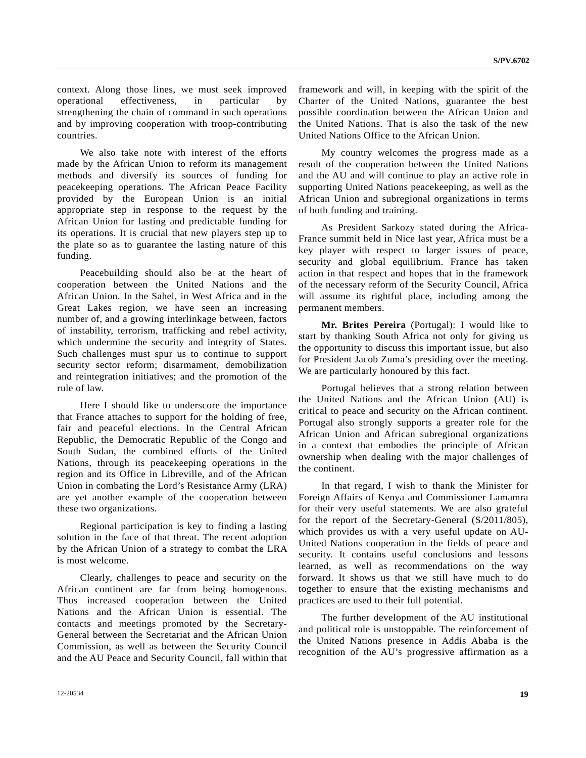context. Along those lines, we must seek improved operational effectiveness, in particular by strengthening the chain of command in such operations and by improving cooperation with troop-contributing countries.

 We also take note with interest of the efforts made by the African Union to reform its management methods and diversify its sources of funding for peacekeeping operations. The African Peace Facility provided by the European Union is an initial appropriate step in response to the request by the African Union for lasting and predictable funding for its operations. It is crucial that new players step up to the plate so as to guarantee the lasting nature of this funding.

 Peacebuilding should also be at the heart of cooperation between the United Nations and the African Union. In the Sahel, in West Africa and in the Great Lakes region, we have seen an increasing number of, and a growing interlinkage between, factors of instability, terrorism, trafficking and rebel activity, which undermine the security and integrity of States. Such challenges must spur us to continue to support security sector reform; disarmament, demobilization and reintegration initiatives; and the promotion of the rule of law.

 Here I should like to underscore the importance that France attaches to support for the holding of free, fair and peaceful elections. In the Central African Republic, the Democratic Republic of the Congo and South Sudan, the combined efforts of the United Nations, through its peacekeeping operations in the region and its Office in Libreville, and of the African Union in combating the Lord's Resistance Army (LRA) are yet another example of the cooperation between these two organizations.

 Regional participation is key to finding a lasting solution in the face of that threat. The recent adoption by the African Union of a strategy to combat the LRA is most welcome.

 Clearly, challenges to peace and security on the African continent are far from being homogenous. Thus increased cooperation between the United Nations and the African Union is essential. The contacts and meetings promoted by the Secretary-General between the Secretariat and the African Union Commission, as well as between the Security Council and the AU Peace and Security Council, fall within that framework and will, in keeping with the spirit of the Charter of the United Nations, guarantee the best possible coordination between the African Union and the United Nations. That is also the task of the new United Nations Office to the African Union.

 My country welcomes the progress made as a result of the cooperation between the United Nations and the AU and will continue to play an active role in supporting United Nations peacekeeping, as well as the African Union and subregional organizations in terms of both funding and training.

 As President Sarkozy stated during the Africa-France summit held in Nice last year, Africa must be a key player with respect to larger issues of peace, security and global equilibrium. France has taken action in that respect and hopes that in the framework of the necessary reform of the Security Council, Africa will assume its rightful place, including among the permanent members.

**Mr. Brites Pereira** (Portugal): I would like to start by thanking South Africa not only for giving us the opportunity to discuss this important issue, but also for President Jacob Zuma's presiding over the meeting. We are particularly honoured by this fact.

 Portugal believes that a strong relation between the United Nations and the African Union (AU) is critical to peace and security on the African continent. Portugal also strongly supports a greater role for the African Union and African subregional organizations in a context that embodies the principle of African ownership when dealing with the major challenges of the continent.

 In that regard, I wish to thank the Minister for Foreign Affairs of Kenya and Commissioner Lamamra for their very useful statements. We are also grateful for the report of the Secretary-General (S/2011/805), which provides us with a very useful update on AU-United Nations cooperation in the fields of peace and security. It contains useful conclusions and lessons learned, as well as recommendations on the way forward. It shows us that we still have much to do together to ensure that the existing mechanisms and practices are used to their full potential.

 The further development of the AU institutional and political role is unstoppable. The reinforcement of the United Nations presence in Addis Ababa is the recognition of the AU's progressive affirmation as a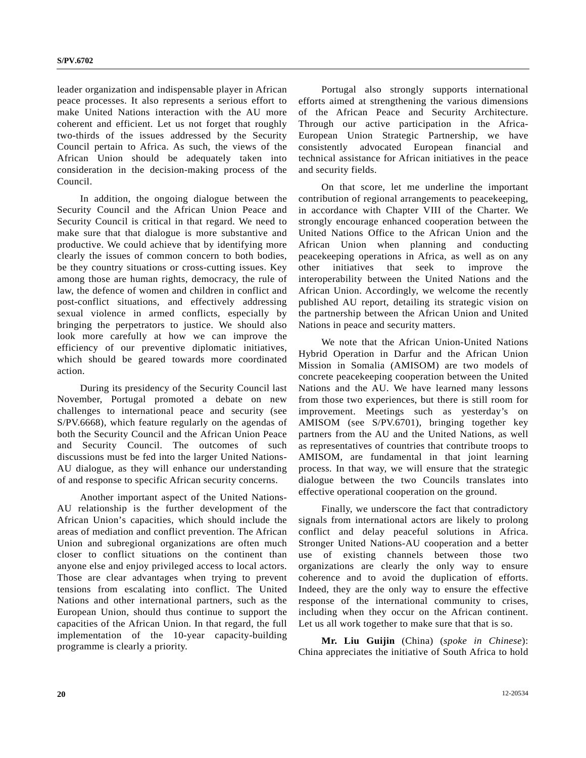leader organization and indispensable player in African peace processes. It also represents a serious effort to make United Nations interaction with the AU more coherent and efficient. Let us not forget that roughly two-thirds of the issues addressed by the Security Council pertain to Africa. As such, the views of the African Union should be adequately taken into consideration in the decision-making process of the Council.

 In addition, the ongoing dialogue between the Security Council and the African Union Peace and Security Council is critical in that regard. We need to make sure that that dialogue is more substantive and productive. We could achieve that by identifying more clearly the issues of common concern to both bodies, be they country situations or cross-cutting issues. Key among those are human rights, democracy, the rule of law, the defence of women and children in conflict and post-conflict situations, and effectively addressing sexual violence in armed conflicts, especially by bringing the perpetrators to justice. We should also look more carefully at how we can improve the efficiency of our preventive diplomatic initiatives, which should be geared towards more coordinated action.

 During its presidency of the Security Council last November, Portugal promoted a debate on new challenges to international peace and security (see S/PV.6668), which feature regularly on the agendas of both the Security Council and the African Union Peace and Security Council. The outcomes of such discussions must be fed into the larger United Nations-AU dialogue, as they will enhance our understanding of and response to specific African security concerns.

 Another important aspect of the United Nations-AU relationship is the further development of the African Union's capacities, which should include the areas of mediation and conflict prevention. The African Union and subregional organizations are often much closer to conflict situations on the continent than anyone else and enjoy privileged access to local actors. Those are clear advantages when trying to prevent tensions from escalating into conflict. The United Nations and other international partners, such as the European Union, should thus continue to support the capacities of the African Union. In that regard, the full implementation of the 10-year capacity-building programme is clearly a priority.

 Portugal also strongly supports international efforts aimed at strengthening the various dimensions of the African Peace and Security Architecture. Through our active participation in the Africa-European Union Strategic Partnership, we have consistently advocated European financial and technical assistance for African initiatives in the peace and security fields.

 On that score, let me underline the important contribution of regional arrangements to peacekeeping, in accordance with Chapter VIII of the Charter. We strongly encourage enhanced cooperation between the United Nations Office to the African Union and the African Union when planning and conducting peacekeeping operations in Africa, as well as on any other initiatives that seek to improve the interoperability between the United Nations and the African Union. Accordingly, we welcome the recently published AU report, detailing its strategic vision on the partnership between the African Union and United Nations in peace and security matters.

 We note that the African Union-United Nations Hybrid Operation in Darfur and the African Union Mission in Somalia (AMISOM) are two models of concrete peacekeeping cooperation between the United Nations and the AU. We have learned many lessons from those two experiences, but there is still room for improvement. Meetings such as yesterday's on AMISOM (see S/PV.6701), bringing together key partners from the AU and the United Nations, as well as representatives of countries that contribute troops to AMISOM, are fundamental in that joint learning process. In that way, we will ensure that the strategic dialogue between the two Councils translates into effective operational cooperation on the ground.

 Finally, we underscore the fact that contradictory signals from international actors are likely to prolong conflict and delay peaceful solutions in Africa. Stronger United Nations-AU cooperation and a better use of existing channels between those two organizations are clearly the only way to ensure coherence and to avoid the duplication of efforts. Indeed, they are the only way to ensure the effective response of the international community to crises, including when they occur on the African continent. Let us all work together to make sure that that is so.

**Mr. Liu Guijin** (China) (*spoke in Chinese*): China appreciates the initiative of South Africa to hold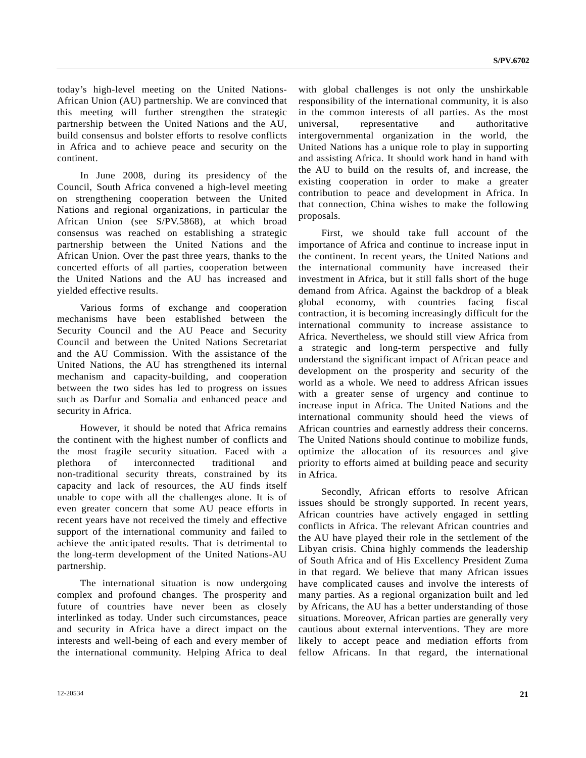today's high-level meeting on the United Nations-African Union (AU) partnership. We are convinced that this meeting will further strengthen the strategic partnership between the United Nations and the AU, build consensus and bolster efforts to resolve conflicts in Africa and to achieve peace and security on the continent.

 In June 2008, during its presidency of the Council, South Africa convened a high-level meeting on strengthening cooperation between the United Nations and regional organizations, in particular the African Union (see S/PV.5868), at which broad consensus was reached on establishing a strategic partnership between the United Nations and the African Union. Over the past three years, thanks to the concerted efforts of all parties, cooperation between the United Nations and the AU has increased and yielded effective results.

 Various forms of exchange and cooperation mechanisms have been established between the Security Council and the AU Peace and Security Council and between the United Nations Secretariat and the AU Commission. With the assistance of the United Nations, the AU has strengthened its internal mechanism and capacity-building, and cooperation between the two sides has led to progress on issues such as Darfur and Somalia and enhanced peace and security in Africa.

 However, it should be noted that Africa remains the continent with the highest number of conflicts and the most fragile security situation. Faced with a plethora of interconnected traditional and non-traditional security threats, constrained by its capacity and lack of resources, the AU finds itself unable to cope with all the challenges alone. It is of even greater concern that some AU peace efforts in recent years have not received the timely and effective support of the international community and failed to achieve the anticipated results. That is detrimental to the long-term development of the United Nations-AU partnership.

 The international situation is now undergoing complex and profound changes. The prosperity and future of countries have never been as closely interlinked as today. Under such circumstances, peace and security in Africa have a direct impact on the interests and well-being of each and every member of the international community. Helping Africa to deal

with global challenges is not only the unshirkable responsibility of the international community, it is also in the common interests of all parties. As the most universal, representative and authoritative intergovernmental organization in the world, the United Nations has a unique role to play in supporting and assisting Africa. It should work hand in hand with the AU to build on the results of, and increase, the existing cooperation in order to make a greater contribution to peace and development in Africa. In that connection, China wishes to make the following proposals.

 First, we should take full account of the importance of Africa and continue to increase input in the continent. In recent years, the United Nations and the international community have increased their investment in Africa, but it still falls short of the huge demand from Africa. Against the backdrop of a bleak global economy, with countries facing fiscal contraction, it is becoming increasingly difficult for the international community to increase assistance to Africa. Nevertheless, we should still view Africa from a strategic and long-term perspective and fully understand the significant impact of African peace and development on the prosperity and security of the world as a whole. We need to address African issues with a greater sense of urgency and continue to increase input in Africa. The United Nations and the international community should heed the views of African countries and earnestly address their concerns. The United Nations should continue to mobilize funds, optimize the allocation of its resources and give priority to efforts aimed at building peace and security in Africa.

 Secondly, African efforts to resolve African issues should be strongly supported. In recent years, African countries have actively engaged in settling conflicts in Africa. The relevant African countries and the AU have played their role in the settlement of the Libyan crisis. China highly commends the leadership of South Africa and of His Excellency President Zuma in that regard. We believe that many African issues have complicated causes and involve the interests of many parties. As a regional organization built and led by Africans, the AU has a better understanding of those situations. Moreover, African parties are generally very cautious about external interventions. They are more likely to accept peace and mediation efforts from fellow Africans. In that regard, the international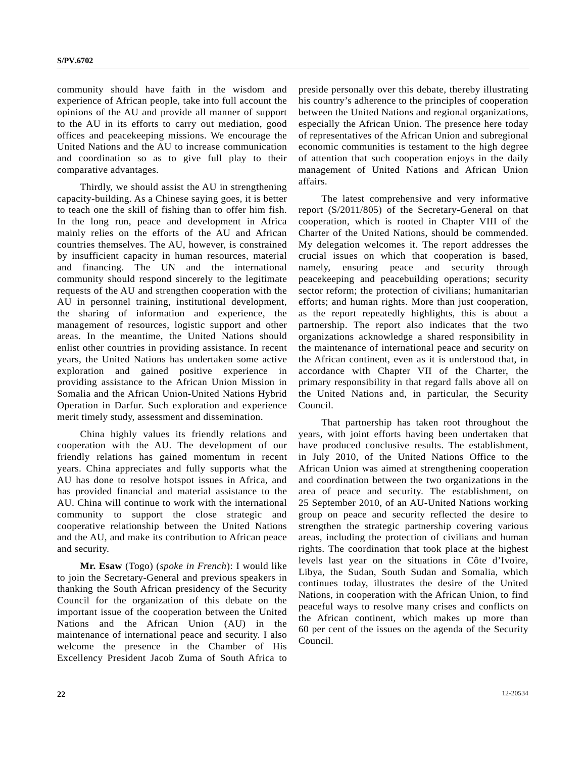community should have faith in the wisdom and experience of African people, take into full account the opinions of the AU and provide all manner of support to the AU in its efforts to carry out mediation, good offices and peacekeeping missions. We encourage the United Nations and the AU to increase communication and coordination so as to give full play to their comparative advantages.

 Thirdly, we should assist the AU in strengthening capacity-building. As a Chinese saying goes, it is better to teach one the skill of fishing than to offer him fish. In the long run, peace and development in Africa mainly relies on the efforts of the AU and African countries themselves. The AU, however, is constrained by insufficient capacity in human resources, material and financing. The UN and the international community should respond sincerely to the legitimate requests of the AU and strengthen cooperation with the AU in personnel training, institutional development, the sharing of information and experience, the management of resources, logistic support and other areas. In the meantime, the United Nations should enlist other countries in providing assistance. In recent years, the United Nations has undertaken some active exploration and gained positive experience providing assistance to the African Union Mission in Somalia and the African Union-United Nations Hybrid Operation in Darfur. Such exploration and experience merit timely study, assessment and dissemination.

 China highly values its friendly relations and cooperation with the AU. The development of our friendly relations has gained momentum in recent years. China appreciates and fully supports what the AU has done to resolve hotspot issues in Africa, and has provided financial and material assistance to the AU. China will continue to work with the international community to support the close strategic and cooperative relationship between the United Nations and the AU, and make its contribution to African peace and security.

**Mr. Esaw** (Togo) (*spoke in French*): I would like to join the Secretary-General and previous speakers in thanking the South African presidency of the Security Council for the organization of this debate on the important issue of the cooperation between the United Nations and the African Union (AU) in the maintenance of international peace and security. I also welcome the presence in the Chamber of His Excellency President Jacob Zuma of South Africa to preside personally over this debate, thereby illustrating his country's adherence to the principles of cooperation between the United Nations and regional organizations, especially the African Union. The presence here today of representatives of the African Union and subregional economic communities is testament to the high degree of attention that such cooperation enjoys in the daily management of United Nations and African Union affairs.

 The latest comprehensive and very informative report (S/2011/805) of the Secretary-General on that cooperation, which is rooted in Chapter VIII of the Charter of the United Nations, should be commended. My delegation welcomes it. The report addresses the crucial issues on which that cooperation is based, namely, ensuring peace and security through peacekeeping and peacebuilding operations; security sector reform; the protection of civilians; humanitarian efforts; and human rights. More than just cooperation, as the report repeatedly highlights, this is about a partnership. The report also indicates that the two organizations acknowledge a shared responsibility in the maintenance of international peace and security on the African continent, even as it is understood that, in accordance with Chapter VII of the Charter, the primary responsibility in that regard falls above all on the United Nations and, in particular, the Security Council.

 That partnership has taken root throughout the years, with joint efforts having been undertaken that have produced conclusive results. The establishment, in July 2010, of the United Nations Office to the African Union was aimed at strengthening cooperation and coordination between the two organizations in the area of peace and security. The establishment, on 25 September 2010, of an AU-United Nations working group on peace and security reflected the desire to strengthen the strategic partnership covering various areas, including the protection of civilians and human rights. The coordination that took place at the highest levels last year on the situations in Côte d'Ivoire, Libya, the Sudan, South Sudan and Somalia, which continues today, illustrates the desire of the United Nations, in cooperation with the African Union, to find peaceful ways to resolve many crises and conflicts on the African continent, which makes up more than 60 per cent of the issues on the agenda of the Security Council.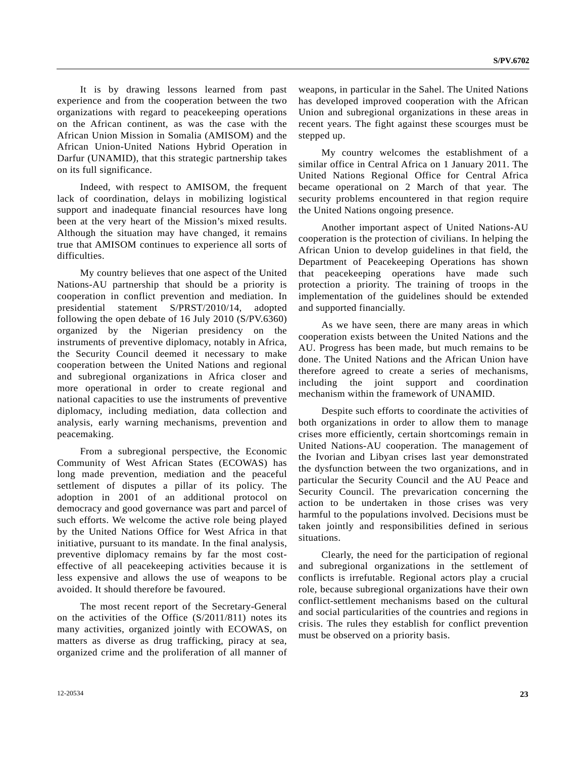It is by drawing lessons learned from past experience and from the cooperation between the two organizations with regard to peacekeeping operations on the African continent, as was the case with the African Union Mission in Somalia (AMISOM) and the African Union-United Nations Hybrid Operation in Darfur (UNAMID), that this strategic partnership takes on its full significance.

 Indeed, with respect to AMISOM, the frequent lack of coordination, delays in mobilizing logistical support and inadequate financial resources have long been at the very heart of the Mission's mixed results. Although the situation may have changed, it remains true that AMISOM continues to experience all sorts of difficulties.

 My country believes that one aspect of the United Nations-AU partnership that should be a priority is cooperation in conflict prevention and mediation. In presidential statement S/PRST/2010/14, adopted following the open debate of 16 July 2010 (S/PV.6360) organized by the Nigerian presidency on the instruments of preventive diplomacy, notably in Africa, the Security Council deemed it necessary to make cooperation between the United Nations and regional and subregional organizations in Africa closer and more operational in order to create regional and national capacities to use the instruments of preventive diplomacy, including mediation, data collection and analysis, early warning mechanisms, prevention and peacemaking.

 From a subregional perspective, the Economic Community of West African States (ECOWAS) has long made prevention, mediation and the peaceful settlement of disputes a pillar of its policy. The adoption in 2001 of an additional protocol on democracy and good governance was part and parcel of such efforts. We welcome the active role being played by the United Nations Office for West Africa in that initiative, pursuant to its mandate. In the final analysis, preventive diplomacy remains by far the most costeffective of all peacekeeping activities because it is less expensive and allows the use of weapons to be avoided. It should therefore be favoured.

 The most recent report of the Secretary-General on the activities of the Office (S/2011/811) notes its many activities, organized jointly with ECOWAS, on matters as diverse as drug trafficking, piracy at sea, organized crime and the proliferation of all manner of

weapons, in particular in the Sahel. The United Nations has developed improved cooperation with the African Union and subregional organizations in these areas in recent years. The fight against these scourges must be stepped up.

 My country welcomes the establishment of a similar office in Central Africa on 1 January 2011. The United Nations Regional Office for Central Africa became operational on 2 March of that year. The security problems encountered in that region require the United Nations ongoing presence.

 Another important aspect of United Nations-AU cooperation is the protection of civilians. In helping the African Union to develop guidelines in that field, the Department of Peacekeeping Operations has shown that peacekeeping operations have made such protection a priority. The training of troops in the implementation of the guidelines should be extended and supported financially.

 As we have seen, there are many areas in which cooperation exists between the United Nations and the AU. Progress has been made, but much remains to be done. The United Nations and the African Union have therefore agreed to create a series of mechanisms, including the joint support and coordination mechanism within the framework of UNAMID.

 Despite such efforts to coordinate the activities of both organizations in order to allow them to manage crises more efficiently, certain shortcomings remain in United Nations-AU cooperation. The management of the Ivorian and Libyan crises last year demonstrated the dysfunction between the two organizations, and in particular the Security Council and the AU Peace and Security Council. The prevarication concerning the action to be undertaken in those crises was very harmful to the populations involved. Decisions must be taken jointly and responsibilities defined in serious situations.

 Clearly, the need for the participation of regional and subregional organizations in the settlement of conflicts is irrefutable. Regional actors play a crucial role, because subregional organizations have their own conflict-settlement mechanisms based on the cultural and social particularities of the countries and regions in crisis. The rules they establish for conflict prevention must be observed on a priority basis.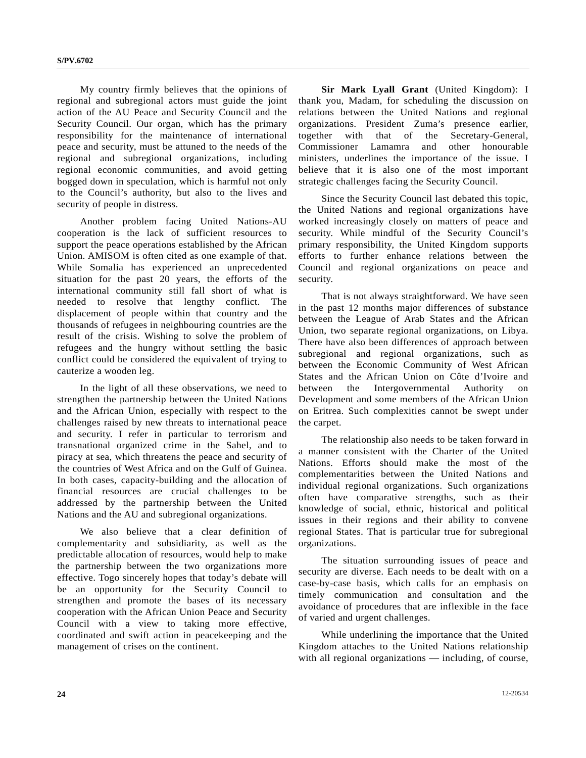My country firmly believes that the opinions of regional and subregional actors must guide the joint action of the AU Peace and Security Council and the Security Council. Our organ, which has the primary responsibility for the maintenance of international peace and security, must be attuned to the needs of the regional and subregional organizations, including regional economic communities, and avoid getting bogged down in speculation, which is harmful not only to the Council's authority, but also to the lives and security of people in distress.

 Another problem facing United Nations-AU cooperation is the lack of sufficient resources to support the peace operations established by the African Union. AMISOM is often cited as one example of that. While Somalia has experienced an unprecedented situation for the past 20 years, the efforts of the international community still fall short of what is needed to resolve that lengthy conflict. The displacement of people within that country and the thousands of refugees in neighbouring countries are the result of the crisis. Wishing to solve the problem of refugees and the hungry without settling the basic conflict could be considered the equivalent of trying to cauterize a wooden leg.

 In the light of all these observations, we need to strengthen the partnership between the United Nations and the African Union, especially with respect to the challenges raised by new threats to international peace and security. I refer in particular to terrorism and transnational organized crime in the Sahel, and to piracy at sea, which threatens the peace and security of the countries of West Africa and on the Gulf of Guinea. In both cases, capacity-building and the allocation of financial resources are crucial challenges to be addressed by the partnership between the United Nations and the AU and subregional organizations.

 We also believe that a clear definition of complementarity and subsidiarity, as well as the predictable allocation of resources, would help to make the partnership between the two organizations more effective. Togo sincerely hopes that today's debate will be an opportunity for the Security Council to strengthen and promote the bases of its necessary cooperation with the African Union Peace and Security Council with a view to taking more effective, coordinated and swift action in peacekeeping and the management of crises on the continent.

**Sir Mark Lyall Grant** (United Kingdom): I thank you, Madam, for scheduling the discussion on relations between the United Nations and regional organizations. President Zuma's presence earlier, together with that of the Secretary-General, Commissioner Lamamra and other honourable ministers, underlines the importance of the issue. I believe that it is also one of the most important strategic challenges facing the Security Council.

 Since the Security Council last debated this topic, the United Nations and regional organizations have worked increasingly closely on matters of peace and security. While mindful of the Security Council's primary responsibility, the United Kingdom supports efforts to further enhance relations between the Council and regional organizations on peace and security.

 That is not always straightforward. We have seen in the past 12 months major differences of substance between the League of Arab States and the African Union, two separate regional organizations, on Libya. There have also been differences of approach between subregional and regional organizations, such as between the Economic Community of West African States and the African Union on Côte d'Ivoire and between the Intergovernmental Authority on Development and some members of the African Union on Eritrea. Such complexities cannot be swept under the carpet.

 The relationship also needs to be taken forward in a manner consistent with the Charter of the United Nations. Efforts should make the most of the complementarities between the United Nations and individual regional organizations. Such organizations often have comparative strengths, such as their knowledge of social, ethnic, historical and political issues in their regions and their ability to convene regional States. That is particular true for subregional organizations.

 The situation surrounding issues of peace and security are diverse. Each needs to be dealt with on a case-by-case basis, which calls for an emphasis on timely communication and consultation and the avoidance of procedures that are inflexible in the face of varied and urgent challenges.

 While underlining the importance that the United Kingdom attaches to the United Nations relationship with all regional organizations — including, of course,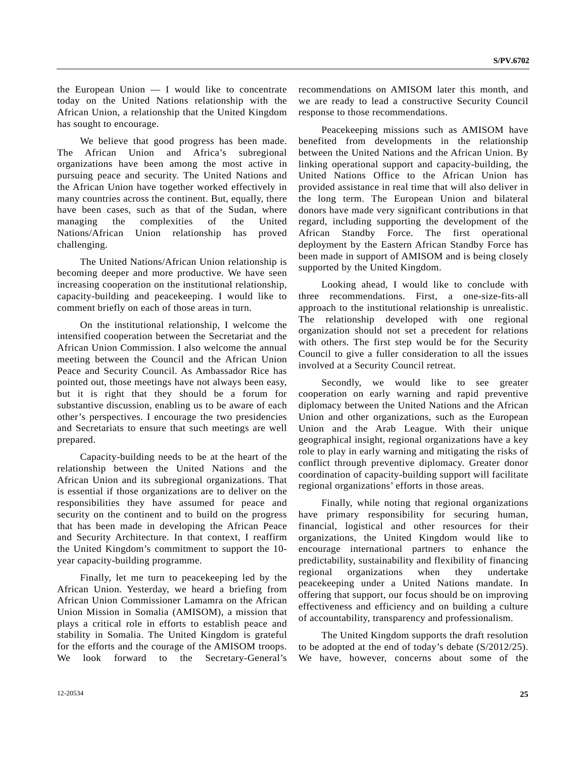the European Union — I would like to concentrate today on the United Nations relationship with the African Union, a relationship that the United Kingdom has sought to encourage.

 We believe that good progress has been made. The African Union and Africa's subregional organizations have been among the most active in pursuing peace and security. The United Nations and the African Union have together worked effectively in many countries across the continent. But, equally, there have been cases, such as that of the Sudan, where managing the complexities of the United Nations/African Union relationship has proved challenging.

 The United Nations/African Union relationship is becoming deeper and more productive. We have seen increasing cooperation on the institutional relationship, capacity-building and peacekeeping. I would like to comment briefly on each of those areas in turn.

 On the institutional relationship, I welcome the intensified cooperation between the Secretariat and the African Union Commission. I also welcome the annual meeting between the Council and the African Union Peace and Security Council. As Ambassador Rice has pointed out, those meetings have not always been easy, but it is right that they should be a forum for substantive discussion, enabling us to be aware of each other's perspectives. I encourage the two presidencies and Secretariats to ensure that such meetings are well prepared.

 Capacity-building needs to be at the heart of the relationship between the United Nations and the African Union and its subregional organizations. That is essential if those organizations are to deliver on the responsibilities they have assumed for peace and security on the continent and to build on the progress that has been made in developing the African Peace and Security Architecture. In that context, I reaffirm the United Kingdom's commitment to support the 10 year capacity-building programme.

 Finally, let me turn to peacekeeping led by the African Union. Yesterday, we heard a briefing from African Union Commissioner Lamamra on the African Union Mission in Somalia (AMISOM), a mission that plays a critical role in efforts to establish peace and stability in Somalia. The United Kingdom is grateful for the efforts and the courage of the AMISOM troops. We look forward to the Secretary-General's

recommendations on AMISOM later this month, and we are ready to lead a constructive Security Council response to those recommendations.

 Peacekeeping missions such as AMISOM have benefited from developments in the relationship between the United Nations and the African Union. By linking operational support and capacity-building, the United Nations Office to the African Union has provided assistance in real time that will also deliver in the long term. The European Union and bilateral donors have made very significant contributions in that regard, including supporting the development of the African Standby Force. The first operational deployment by the Eastern African Standby Force has been made in support of AMISOM and is being closely supported by the United Kingdom.

 Looking ahead, I would like to conclude with three recommendations. First, a one-size-fits-all approach to the institutional relationship is unrealistic. The relationship developed with one regional organization should not set a precedent for relations with others. The first step would be for the Security Council to give a fuller consideration to all the issues involved at a Security Council retreat.

Secondly, we would like to see greater cooperation on early warning and rapid preventive diplomacy between the United Nations and the African Union and other organizations, such as the European Union and the Arab League. With their unique geographical insight, regional organizations have a key role to play in early warning and mitigating the risks of conflict through preventive diplomacy. Greater donor coordination of capacity-building support will facilitate regional organizations' efforts in those areas.

 Finally, while noting that regional organizations have primary responsibility for securing human, financial, logistical and other resources for their organizations, the United Kingdom would like to encourage international partners to enhance the predictability, sustainability and flexibility of financing regional organizations when they undertake peacekeeping under a United Nations mandate. In offering that support, our focus should be on improving effectiveness and efficiency and on building a culture of accountability, transparency and professionalism.

 The United Kingdom supports the draft resolution to be adopted at the end of today's debate (S/2012/25). We have, however, concerns about some of the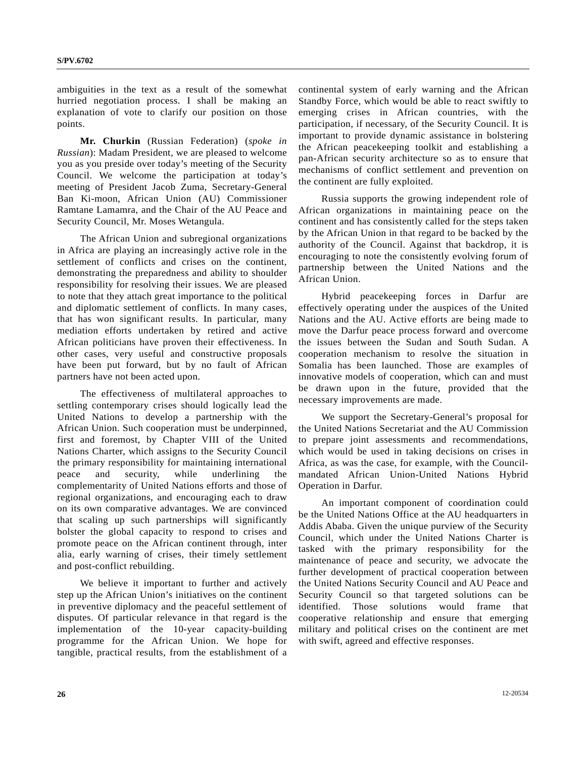ambiguities in the text as a result of the somewhat hurried negotiation process. I shall be making an explanation of vote to clarify our position on those points.

**Mr. Churkin** (Russian Federation) (*spoke in Russian*): Madam President, we are pleased to welcome you as you preside over today's meeting of the Security Council. We welcome the participation at today's meeting of President Jacob Zuma, Secretary-General Ban Ki-moon, African Union (AU) Commissioner Ramtane Lamamra, and the Chair of the AU Peace and Security Council, Mr. Moses Wetangula.

 The African Union and subregional organizations in Africa are playing an increasingly active role in the settlement of conflicts and crises on the continent, demonstrating the preparedness and ability to shoulder responsibility for resolving their issues. We are pleased to note that they attach great importance to the political and diplomatic settlement of conflicts. In many cases, that has won significant results. In particular, many mediation efforts undertaken by retired and active African politicians have proven their effectiveness. In other cases, very useful and constructive proposals have been put forward, but by no fault of African partners have not been acted upon.

 The effectiveness of multilateral approaches to settling contemporary crises should logically lead the United Nations to develop a partnership with the African Union. Such cooperation must be underpinned, first and foremost, by Chapter VIII of the United Nations Charter, which assigns to the Security Council the primary responsibility for maintaining international peace and security, while underlining the complementarity of United Nations efforts and those of regional organizations, and encouraging each to draw on its own comparative advantages. We are convinced that scaling up such partnerships will significantly bolster the global capacity to respond to crises and promote peace on the African continent through, inter alia, early warning of crises, their timely settlement and post-conflict rebuilding.

 We believe it important to further and actively step up the African Union's initiatives on the continent in preventive diplomacy and the peaceful settlement of disputes. Of particular relevance in that regard is the implementation of the 10-year capacity-building programme for the African Union. We hope for tangible, practical results, from the establishment of a

continental system of early warning and the African Standby Force, which would be able to react swiftly to emerging crises in African countries, with the participation, if necessary, of the Security Council. It is important to provide dynamic assistance in bolstering the African peacekeeping toolkit and establishing a pan-African security architecture so as to ensure that mechanisms of conflict settlement and prevention on the continent are fully exploited.

 Russia supports the growing independent role of African organizations in maintaining peace on the continent and has consistently called for the steps taken by the African Union in that regard to be backed by the authority of the Council. Against that backdrop, it is encouraging to note the consistently evolving forum of partnership between the United Nations and the African Union.

 Hybrid peacekeeping forces in Darfur are effectively operating under the auspices of the United Nations and the AU. Active efforts are being made to move the Darfur peace process forward and overcome the issues between the Sudan and South Sudan. A cooperation mechanism to resolve the situation in Somalia has been launched. Those are examples of innovative models of cooperation, which can and must be drawn upon in the future, provided that the necessary improvements are made.

 We support the Secretary-General's proposal for the United Nations Secretariat and the AU Commission to prepare joint assessments and recommendations, which would be used in taking decisions on crises in Africa, as was the case, for example, with the Councilmandated African Union-United Nations Hybrid Operation in Darfur.

 An important component of coordination could be the United Nations Office at the AU headquarters in Addis Ababa. Given the unique purview of the Security Council, which under the United Nations Charter is tasked with the primary responsibility for the maintenance of peace and security, we advocate the further development of practical cooperation between the United Nations Security Council and AU Peace and Security Council so that targeted solutions can be identified. Those solutions would frame that cooperative relationship and ensure that emerging military and political crises on the continent are met with swift, agreed and effective responses.